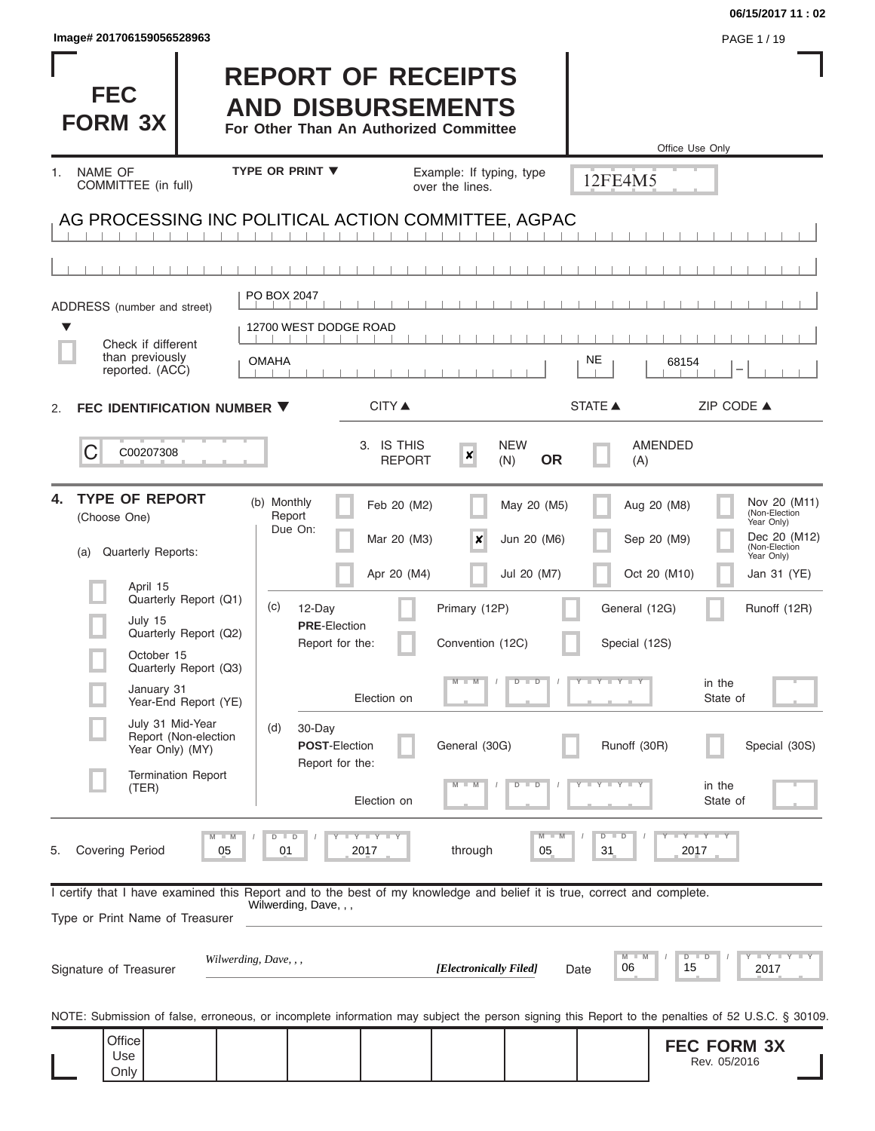| Image# 201706159056528963                                                                                                                                  |                                                                                                 |                                                                        |                                           |                                            | PAGE 1 / 19                                                                                                                                                    |
|------------------------------------------------------------------------------------------------------------------------------------------------------------|-------------------------------------------------------------------------------------------------|------------------------------------------------------------------------|-------------------------------------------|--------------------------------------------|----------------------------------------------------------------------------------------------------------------------------------------------------------------|
| <b>FEC</b><br><b>FORM 3X</b>                                                                                                                               | <b>REPORT OF RECEIPTS</b><br><b>AND DISBURSEMENTS</b><br>For Other Than An Authorized Committee |                                                                        |                                           |                                            | Office Use Only                                                                                                                                                |
| <b>NAME OF</b><br>$1_{-}$                                                                                                                                  | <b>TYPE OR PRINT ▼</b>                                                                          | Example: If typing, type                                               |                                           | 12FE4M5                                    |                                                                                                                                                                |
| COMMITTEE (in full)                                                                                                                                        |                                                                                                 | over the lines.                                                        |                                           |                                            |                                                                                                                                                                |
| AG PROCESSING INC POLITICAL ACTION COMMITTEE, AGPAC                                                                                                        |                                                                                                 |                                                                        |                                           |                                            |                                                                                                                                                                |
|                                                                                                                                                            |                                                                                                 |                                                                        |                                           |                                            |                                                                                                                                                                |
| ADDRESS (number and street)                                                                                                                                | PO BOX 2047                                                                                     |                                                                        |                                           |                                            |                                                                                                                                                                |
| ▼                                                                                                                                                          | 12700 WEST DODGE ROAD                                                                           |                                                                        |                                           |                                            |                                                                                                                                                                |
| Check if different<br>than previously<br>reported. (ACC)                                                                                                   | <b>OMAHA</b>                                                                                    |                                                                        |                                           | NE                                         | 68154                                                                                                                                                          |
| FEC IDENTIFICATION NUMBER ▼<br>2.                                                                                                                          | <b>CITY</b> ▲                                                                                   |                                                                        |                                           | <b>STATE ▲</b>                             | ZIP CODE ▲                                                                                                                                                     |
| С<br>C00207308                                                                                                                                             | 3. IS THIS                                                                                      | $\boldsymbol{x}$<br><b>REPORT</b>                                      | <b>NEW</b><br><b>OR</b><br>(N)            | <b>AMENDED</b><br>(A)                      |                                                                                                                                                                |
| <b>TYPE OF REPORT</b><br>4.<br>(Choose One)<br>Quarterly Reports:<br>(a)                                                                                   | (b) Monthly<br>Report<br>Due On:                                                                | Feb 20 (M2)<br>Mar 20 (M3)<br>$\boldsymbol{\mathsf{x}}$<br>Apr 20 (M4) | May 20 (M5)<br>Jun 20 (M6)<br>Jul 20 (M7) | Aug 20 (M8)<br>Sep 20 (M9)<br>Oct 20 (M10) | Nov 20 (M11)<br>(Non-Election<br>Year Only)<br>Dec 20 (M12)<br>(Non-Election<br>Year Only)<br>Jan 31 (YE)                                                      |
| April 15<br>Quarterly Report (Q1)<br>July 15<br>Quarterly Report (Q2)<br>October 15<br>Quarterly Report (Q3)                                               | (c)<br>12-Day<br><b>PRE-Election</b><br>Report for the:                                         | Primary (12P)<br>Convention (12C)                                      |                                           | General (12G)<br>Special (12S)             | Runoff (12R)                                                                                                                                                   |
| January 31<br>Year-End Report (YE)                                                                                                                         | Election on                                                                                     | $M - M$                                                                | $D$ $D$                                   | $T - Y$ $T - Y$                            | in the<br>State of                                                                                                                                             |
| July 31 Mid-Year<br>Report (Non-election<br>Year Only) (MY)                                                                                                | 30-Day<br>(d)<br><b>POST-Election</b><br>Report for the:                                        | General (30G)                                                          |                                           | Runoff (30R)                               | Special (30S)                                                                                                                                                  |
| <b>Termination Report</b><br>(TER)                                                                                                                         | Election on                                                                                     |                                                                        | D<br>$\overline{D}$                       | $Y - Y - I$                                | in the<br>State of                                                                                                                                             |
| <b>Covering Period</b><br>05<br>5.                                                                                                                         | Y I Y I Y<br>D<br>$\Box$<br>2017<br>01                                                          | through                                                                | M<br>05                                   | $\overline{D}$<br>$\blacksquare$<br>31     | Y TY TY<br>2017                                                                                                                                                |
| I certify that I have examined this Report and to the best of my knowledge and belief it is true, correct and complete.<br>Type or Print Name of Treasurer | Wilwerding, Dave, , ,                                                                           |                                                                        |                                           |                                            |                                                                                                                                                                |
| Signature of Treasurer                                                                                                                                     | Wilwerding, Dave, , ,                                                                           | [Electronically Filed]                                                 | Date                                      | M<br>06                                    | $\begin{array}{c c c c c c} \hline \textbf{I} & \textbf{Y} & \textbf{I} & \textbf{Y} & \textbf{I} & \textbf{Y} \\ \hline \end{array}$<br>$D$ $D$<br>15<br>2017 |
| NOTE: Submission of false, erroneous, or incomplete information may subject the person signing this Report to the penalties of 52 U.S.C. § 30109.          |                                                                                                 |                                                                        |                                           |                                            |                                                                                                                                                                |
| Office<br>Use<br>Only                                                                                                                                      |                                                                                                 |                                                                        |                                           |                                            | <b>FEC FORM 3X</b><br>Rev. 05/2016                                                                                                                             |

**06/15/2017 11 : 02**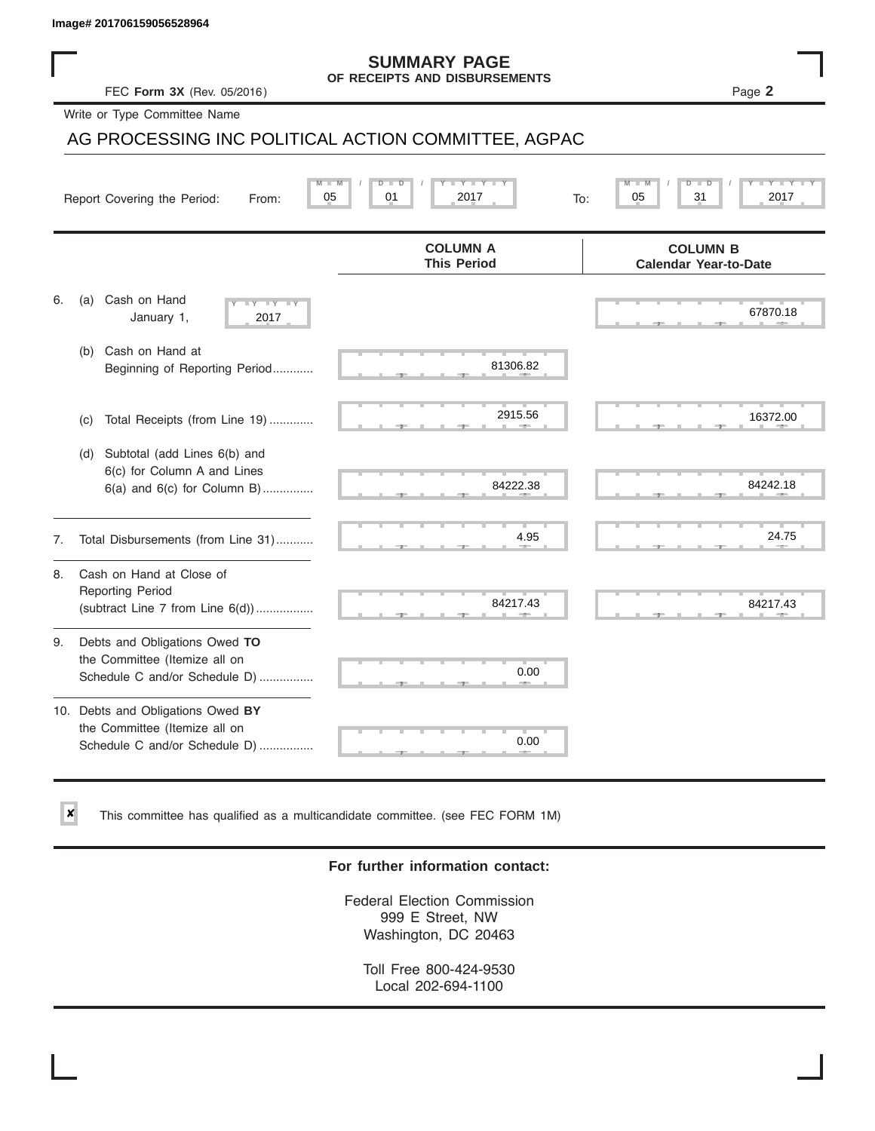✘

#### **SUMMARY PAGE OF RECEIPTS AND DISBURSEMENTS**

FEC **Form 3X** (Rev. 05/2016) Page **2**

Write or Type Committee Name

# AG PROCESSING INC POLITICAL ACTION COMMITTEE, AGPAC Image# 201706159056528964<br>
FEC Form 3X (Rev. 05/2016)<br>
Write or Type Committee Name<br>
AG PROCESSING INC POLITICAL ACTION COMMITTEE, AGPAC<br>
Report Covering the Period: From: 05 01 2017<br>
To: 05 05 01 2017

|    | M<br>05<br>Report Covering the Period:<br>From:                                                     | 01<br>2017<br>To:                     | $\overline{\mathsf{M}}$<br>31<br>2017<br>05     |
|----|-----------------------------------------------------------------------------------------------------|---------------------------------------|-------------------------------------------------|
|    |                                                                                                     | <b>COLUMN A</b><br><b>This Period</b> | <b>COLUMN B</b><br><b>Calendar Year-to-Date</b> |
| 6. | Cash on Hand<br>(a)<br>$-Y - Y - Y$<br>January 1,<br>2017                                           |                                       | 67870.18                                        |
|    | Cash on Hand at<br>(b)<br>Beginning of Reporting Period                                             | 81306.82                              |                                                 |
|    | Total Receipts (from Line 19)<br>(C)                                                                | 2915.56                               | 16372.00                                        |
|    | Subtotal (add Lines 6(b) and<br>(d)<br>6(c) for Column A and Lines<br>6(a) and 6(c) for Column B)   | 84222.38                              | 84242.18                                        |
| 7. | Total Disbursements (from Line 31)                                                                  | 4.95                                  | 24.75                                           |
| 8. | Cash on Hand at Close of<br><b>Reporting Period</b><br>(subtract Line $7$ from Line $6(d)$ )        | 84217.43                              | 84217.43                                        |
| 9. | Debts and Obligations Owed TO<br>the Committee (Itemize all on<br>Schedule C and/or Schedule D)     | 0.00                                  |                                                 |
|    | 10. Debts and Obligations Owed BY<br>the Committee (Itemize all on<br>Schedule C and/or Schedule D) | 0.00                                  |                                                 |

This committee has qualified as a multicandidate committee. (see FEC FORM 1M)

### **For further information contact:**

Federal Election Commission 999 E Street, NW Washington, DC 20463

Toll Free 800-424-9530 Local 202-694-1100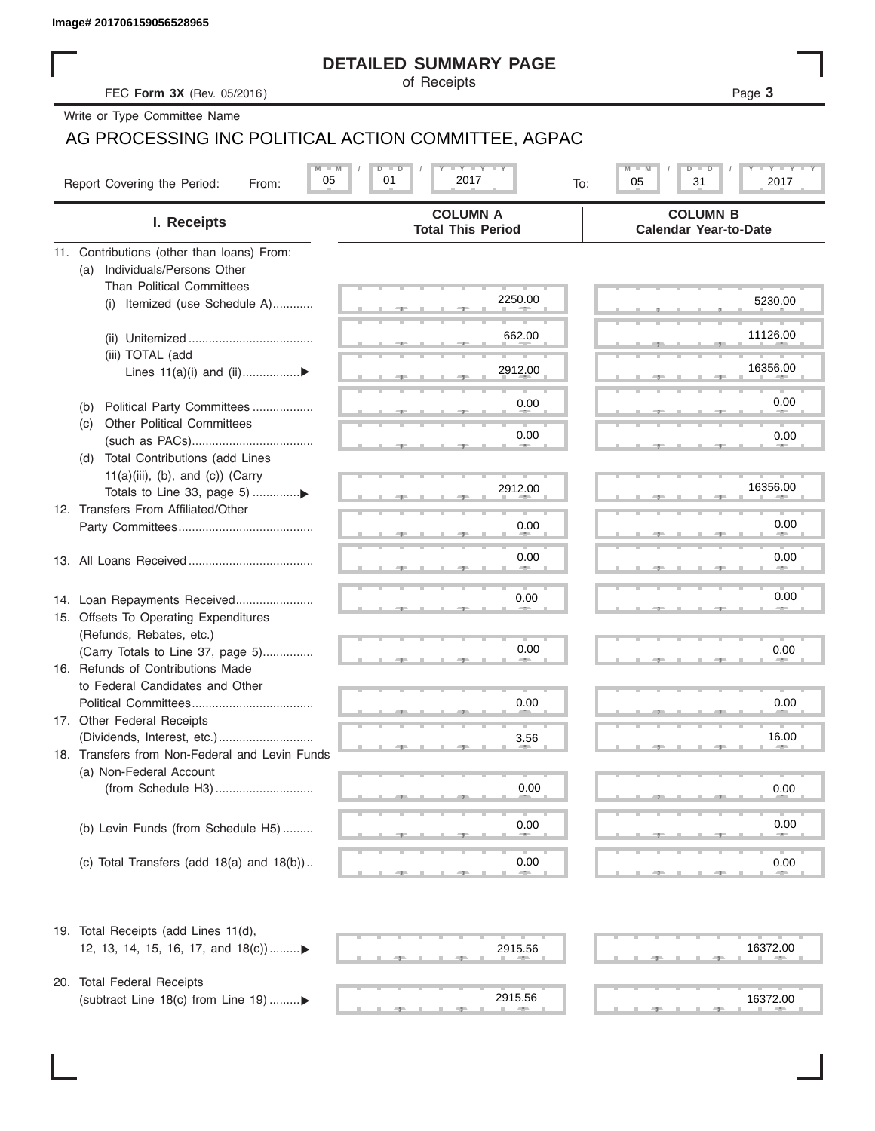|  | Image# 201706159056528965 |
|--|---------------------------|

### **DETAILED SUMMARY PAGE**

### AG PROCESSING INC POLITICAL ACTION COMMITTEE, AGPAC

|                                                                      | <b>DETAILED SUMMARY PAGE</b>                            |                                                 |
|----------------------------------------------------------------------|---------------------------------------------------------|-------------------------------------------------|
| FEC Form 3X (Rev. 05/2016)                                           | of Receipts                                             | Page 3                                          |
| Write or Type Committee Name                                         |                                                         |                                                 |
| AG PROCESSING INC POLITICAL ACTION COMMITTEE, AGPAC                  |                                                         |                                                 |
| $M$ $M$<br>05<br>Report Covering the Period:<br>From:                | $I - Y - I - Y - I - Y$<br>$D$ $D$<br>01<br>2017<br>To: | $T - Y$ $T - Y$<br>M<br>D<br>05<br>31<br>2017   |
| I. Receipts                                                          | <b>COLUMN A</b><br><b>Total This Period</b>             | <b>COLUMN B</b><br><b>Calendar Year-to-Date</b> |
| 11. Contributions (other than loans) From:                           |                                                         |                                                 |
| Individuals/Persons Other<br>(a)                                     |                                                         |                                                 |
| <b>Than Political Committees</b><br>(i) Itemized (use Schedule A)    | 2250.00                                                 | 5230.00                                         |
|                                                                      |                                                         |                                                 |
|                                                                      | 662.00                                                  | 11126.00                                        |
| (iii) TOTAL (add                                                     |                                                         |                                                 |
| Lines 11(a)(i) and (ii)▶                                             | 2912.00                                                 | 16356.00                                        |
|                                                                      |                                                         |                                                 |
| Political Party Committees<br>(b)                                    | 0.00                                                    | 0.00                                            |
| <b>Other Political Committees</b><br>(C)                             | 0.00                                                    | 0.00                                            |
|                                                                      |                                                         |                                                 |
| Total Contributions (add Lines<br>(d)                                |                                                         |                                                 |
| $11(a)(iii)$ , (b), and (c)) (Carry                                  | 2912.00                                                 | 16356.00                                        |
| 12. Transfers From Affiliated/Other                                  |                                                         |                                                 |
|                                                                      | 0.00                                                    | 0.00                                            |
|                                                                      |                                                         |                                                 |
|                                                                      | 0.00                                                    | 0.00                                            |
|                                                                      |                                                         |                                                 |
| 14. Loan Repayments Received                                         | 0.00                                                    | 0.00                                            |
| 15. Offsets To Operating Expenditures                                |                                                         |                                                 |
| (Refunds, Rebates, etc.)                                             | 0.00                                                    |                                                 |
| (Carry Totals to Line 37, page 5)                                    |                                                         | 0.00                                            |
| 16. Refunds of Contributions Made<br>to Federal Candidates and Other |                                                         |                                                 |
| Political Committees                                                 | 0.00                                                    | 0.00                                            |
| 17. Other Federal Receipts                                           |                                                         |                                                 |
|                                                                      | 3.56                                                    | 16.00                                           |
| 18. Transfers from Non-Federal and Levin Funds                       |                                                         |                                                 |
| (a) Non-Federal Account                                              |                                                         |                                                 |
|                                                                      | 0.00                                                    | 0.00                                            |
|                                                                      |                                                         |                                                 |
| (b) Levin Funds (from Schedule H5)                                   | 0.00                                                    | 0.00                                            |
|                                                                      |                                                         |                                                 |
| (c) Total Transfers (add $18(a)$ and $18(b)$ )                       | 0.00                                                    | 0.00                                            |
| 19. Total Receipts (add Lines 11(d),                                 |                                                         |                                                 |
| 12, 13, 14, 15, 16, 17, and $18(c)$                                  | 2915.56                                                 | 16372.00                                        |
|                                                                      |                                                         |                                                 |
| 20. Total Federal Receipts<br>(subtract Line 18(c) from Line 19) ▶   | 2915.56                                                 | 16372.00                                        |
|                                                                      | $\frac{1}{2}$                                           |                                                 |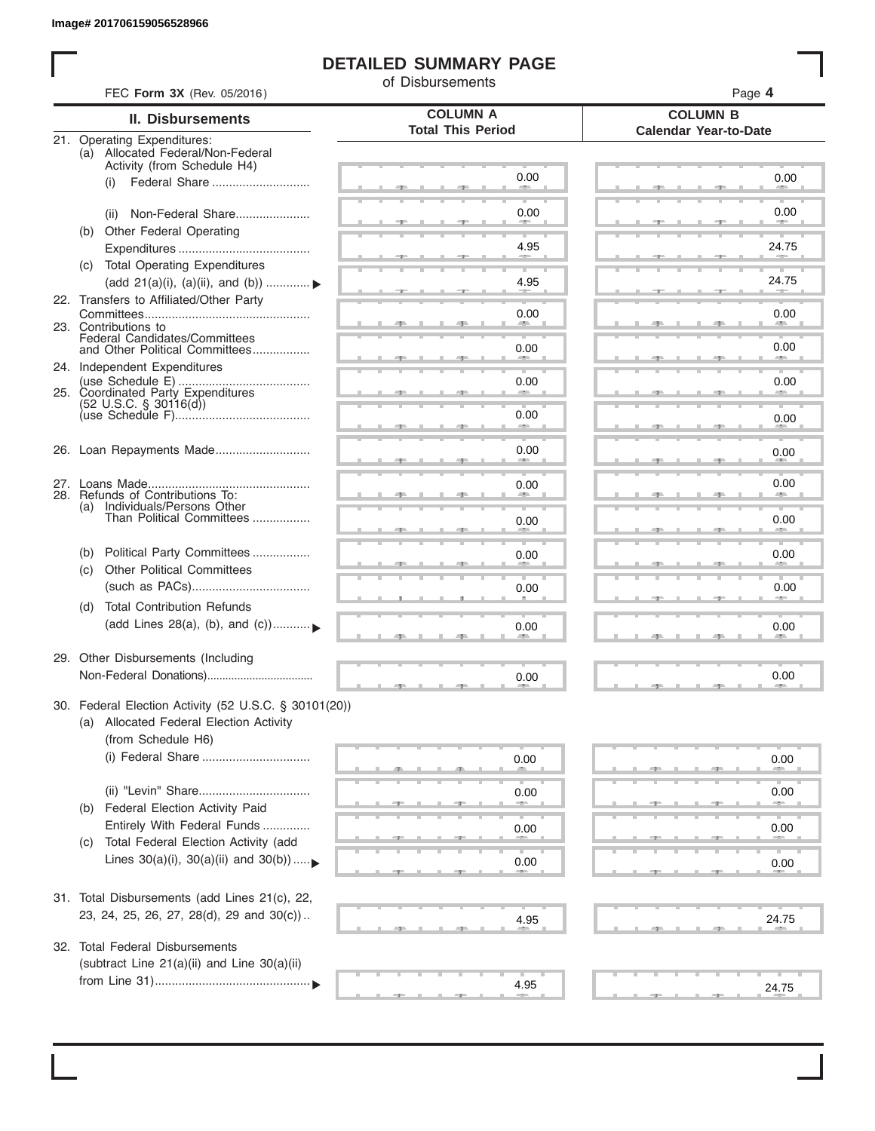I

### **DETAILED SUMMARY PAGE**

of Disbursements

| II. Disbursements<br>21. Operating Expenditures:<br>(a) Allocated Federal/Non-Federal<br>Activity (from Schedule H4)<br>(i)<br>Non-Federal Share<br>(ii)<br>(b) Other Federal Operating | <b>COLUMN A</b><br><b>Total This Period</b><br>0.00<br>0.00                                                                                                                                                                                                                                                                                                                                                                                                                                                                                                                                                                                  | <b>COLUMN B</b><br><b>Calendar Year-to-Date</b><br>0.00                               |
|-----------------------------------------------------------------------------------------------------------------------------------------------------------------------------------------|----------------------------------------------------------------------------------------------------------------------------------------------------------------------------------------------------------------------------------------------------------------------------------------------------------------------------------------------------------------------------------------------------------------------------------------------------------------------------------------------------------------------------------------------------------------------------------------------------------------------------------------------|---------------------------------------------------------------------------------------|
|                                                                                                                                                                                         |                                                                                                                                                                                                                                                                                                                                                                                                                                                                                                                                                                                                                                              |                                                                                       |
|                                                                                                                                                                                         |                                                                                                                                                                                                                                                                                                                                                                                                                                                                                                                                                                                                                                              |                                                                                       |
|                                                                                                                                                                                         |                                                                                                                                                                                                                                                                                                                                                                                                                                                                                                                                                                                                                                              |                                                                                       |
|                                                                                                                                                                                         |                                                                                                                                                                                                                                                                                                                                                                                                                                                                                                                                                                                                                                              | 0.00                                                                                  |
|                                                                                                                                                                                         | 4.95                                                                                                                                                                                                                                                                                                                                                                                                                                                                                                                                                                                                                                         | 24.75                                                                                 |
| (c) Total Operating Expenditures<br>(add 21(a)(i), (a)(ii), and (b))  ▶                                                                                                                 | 4.95                                                                                                                                                                                                                                                                                                                                                                                                                                                                                                                                                                                                                                         | 24.75                                                                                 |
| 22. Transfers to Affiliated/Other Party                                                                                                                                                 | 0.00                                                                                                                                                                                                                                                                                                                                                                                                                                                                                                                                                                                                                                         | 0.00                                                                                  |
| 23. Contributions to<br>Federal Candidates/Committees<br>and Other Political Committees                                                                                                 | 0.00                                                                                                                                                                                                                                                                                                                                                                                                                                                                                                                                                                                                                                         | 0.00                                                                                  |
| 24. Independent Expenditures                                                                                                                                                            | 0.00                                                                                                                                                                                                                                                                                                                                                                                                                                                                                                                                                                                                                                         | 0.00                                                                                  |
|                                                                                                                                                                                         | 0.00                                                                                                                                                                                                                                                                                                                                                                                                                                                                                                                                                                                                                                         | 0.00                                                                                  |
|                                                                                                                                                                                         | 0.00                                                                                                                                                                                                                                                                                                                                                                                                                                                                                                                                                                                                                                         | 0.00                                                                                  |
|                                                                                                                                                                                         | 0.00                                                                                                                                                                                                                                                                                                                                                                                                                                                                                                                                                                                                                                         | 0.00                                                                                  |
| Than Political Committees                                                                                                                                                               | 0.00                                                                                                                                                                                                                                                                                                                                                                                                                                                                                                                                                                                                                                         | 0.00                                                                                  |
|                                                                                                                                                                                         |                                                                                                                                                                                                                                                                                                                                                                                                                                                                                                                                                                                                                                              | 0.00                                                                                  |
| <b>Other Political Committees</b>                                                                                                                                                       |                                                                                                                                                                                                                                                                                                                                                                                                                                                                                                                                                                                                                                              | 0.00                                                                                  |
| <b>Total Contribution Refunds</b>                                                                                                                                                       |                                                                                                                                                                                                                                                                                                                                                                                                                                                                                                                                                                                                                                              |                                                                                       |
|                                                                                                                                                                                         |                                                                                                                                                                                                                                                                                                                                                                                                                                                                                                                                                                                                                                              | 0.00                                                                                  |
|                                                                                                                                                                                         | 0.00                                                                                                                                                                                                                                                                                                                                                                                                                                                                                                                                                                                                                                         | 0.00                                                                                  |
|                                                                                                                                                                                         |                                                                                                                                                                                                                                                                                                                                                                                                                                                                                                                                                                                                                                              |                                                                                       |
|                                                                                                                                                                                         | 0.00                                                                                                                                                                                                                                                                                                                                                                                                                                                                                                                                                                                                                                         | 0.00                                                                                  |
| (ii) "Levin" Share                                                                                                                                                                      | 0.00                                                                                                                                                                                                                                                                                                                                                                                                                                                                                                                                                                                                                                         | 0.00                                                                                  |
| Entirely With Federal Funds                                                                                                                                                             | 0.00                                                                                                                                                                                                                                                                                                                                                                                                                                                                                                                                                                                                                                         | 0.00                                                                                  |
| Lines $30(a)(i)$ , $30(a)(ii)$ and $30(b))$                                                                                                                                             | 0.00                                                                                                                                                                                                                                                                                                                                                                                                                                                                                                                                                                                                                                         | 0.00                                                                                  |
|                                                                                                                                                                                         | 4.95                                                                                                                                                                                                                                                                                                                                                                                                                                                                                                                                                                                                                                         | 24.75                                                                                 |
|                                                                                                                                                                                         |                                                                                                                                                                                                                                                                                                                                                                                                                                                                                                                                                                                                                                              |                                                                                       |
|                                                                                                                                                                                         | 4.95                                                                                                                                                                                                                                                                                                                                                                                                                                                                                                                                                                                                                                         | 24.75                                                                                 |
|                                                                                                                                                                                         | 25. Coordinated Party Expenditures<br>$(52 \text{ U.S.C. }$ § 30116(d))<br>26. Loan Repayments Made<br>28. Refunds of Contributions To:<br>(a) Individuals/Persons Other<br>Political Party Committees<br>(b)<br>(c)<br>(d)<br>(add Lines 28(a), (b), and (c))<br>29. Other Disbursements (Including<br>(a) Allocated Federal Election Activity<br>(from Schedule H6)<br>Federal Election Activity Paid<br>(b)<br>Total Federal Election Activity (add<br>(C)<br>31. Total Disbursements (add Lines 21(c), 22,<br>23, 24, 25, 26, 27, 28(d), 29 and 30(c))<br>32. Total Federal Disbursements<br>(subtract Line 21(a)(ii) and Line 30(a)(ii) | an a<br>0.00<br>0.00<br>0.00<br>30. Federal Election Activity (52 U.S.C. § 30101(20)) |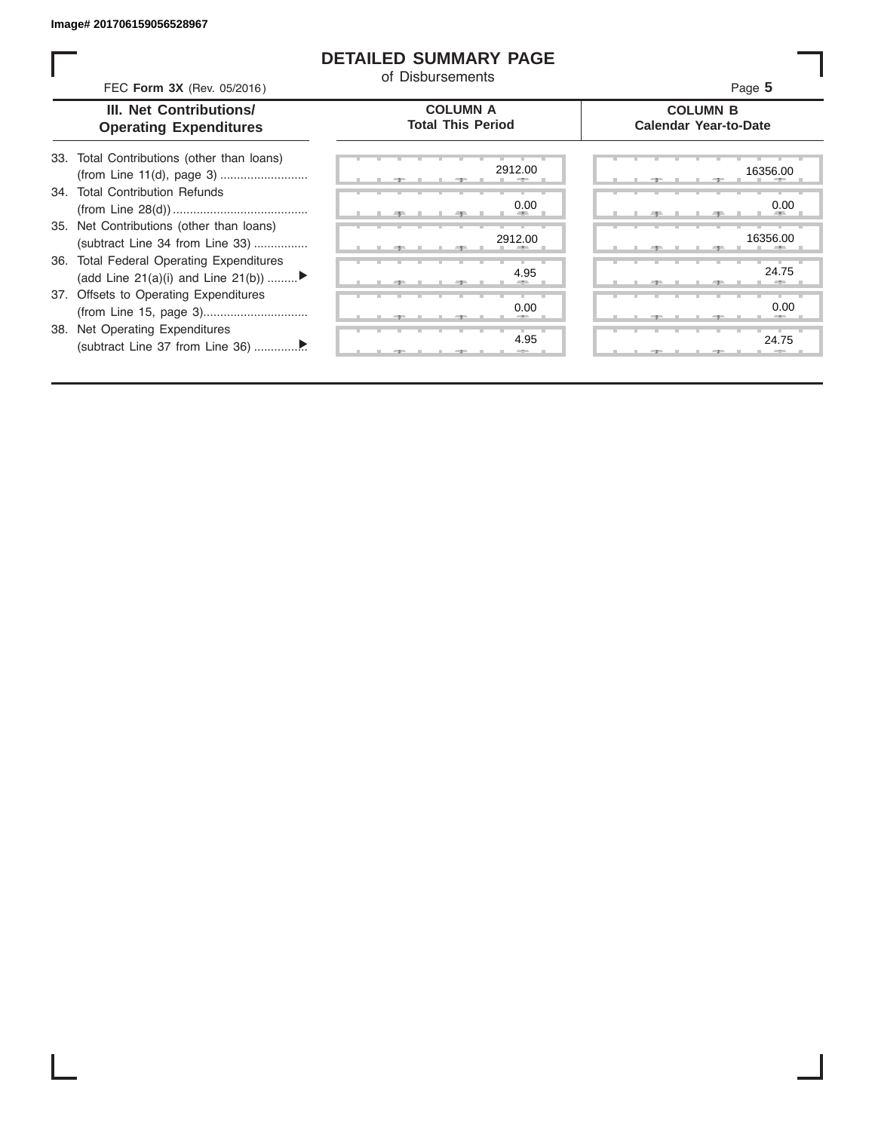ı

### **DETAILED SUMMARY PAGE**

of Disbursements

| FEC Form 3X (Rev. 05/2016)                                                     | OI DISDUISEIHEINS                           | Page 5                                          |
|--------------------------------------------------------------------------------|---------------------------------------------|-------------------------------------------------|
| III. Net Contributions/<br><b>Operating Expenditures</b>                       | <b>COLUMN A</b><br><b>Total This Period</b> | <b>COLUMN B</b><br><b>Calendar Year-to-Date</b> |
| 33. Total Contributions (other than loans)                                     | 2912.00                                     | 16356.00                                        |
| 34. Total Contribution Refunds                                                 | 0.00                                        | 0.00                                            |
| 35. Net Contributions (other than loans)<br>(subtract Line 34 from Line 33)    | 2912.00                                     | 16356.00                                        |
| 36. Total Federal Operating Expenditures<br>(add Line 21(a)(i) and Line 21(b)) | 4.95                                        | 24.75                                           |
| 37. Offsets to Operating Expenditures                                          | 0.00                                        | 0.00                                            |
| 38. Net Operating Expenditures                                                 | 4.95                                        | 24.75                                           |
|                                                                                |                                             |                                                 |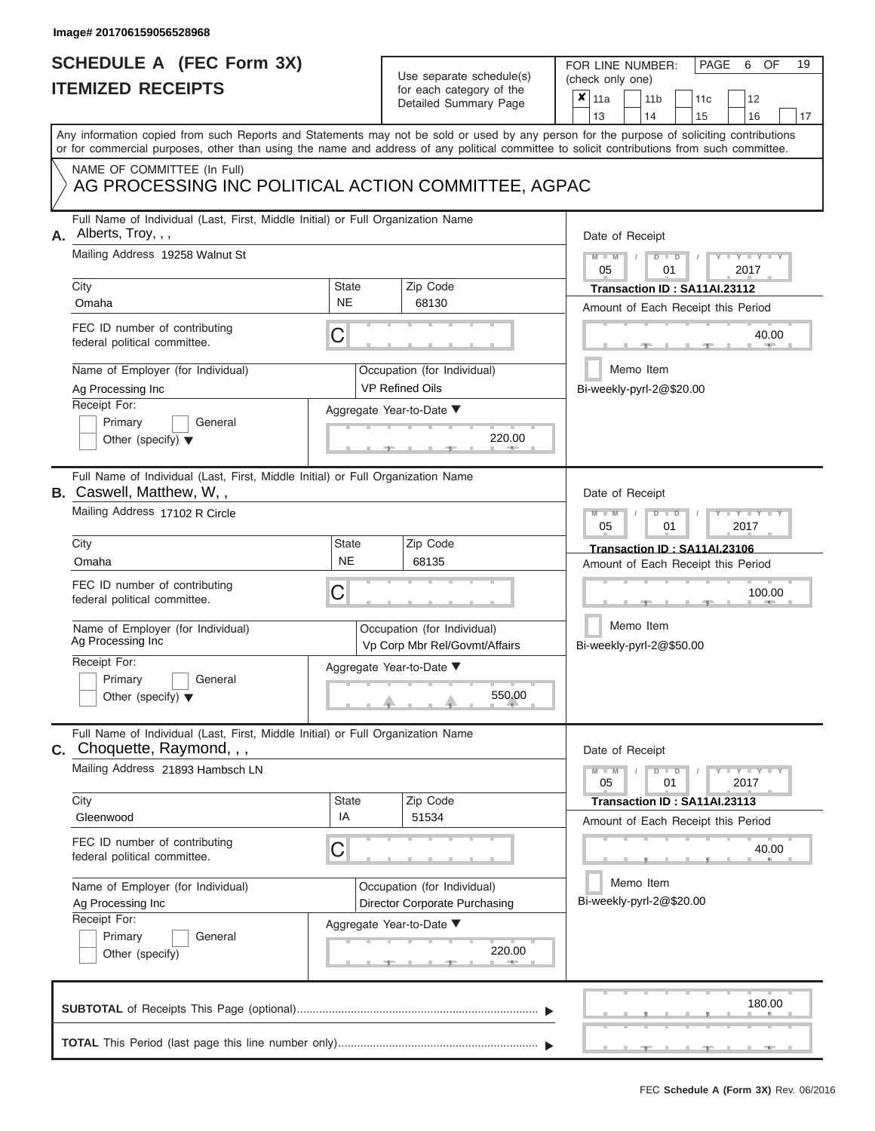# **SCHEDULE A (FEC Form 3X)**

# Use separate schedule(s)

| SCHEDULE A (FEC Form 3X)<br><b>ITEMIZED RECEIPTS</b>                                                                                                                                                        |                           | Use separate schedule(s)<br>for each category of the<br>Detailed Summary Page | 19<br>FOR LINE NUMBER:<br>PAGE<br>OF<br>6<br>(check only one)<br>$\boldsymbol{x}$<br>11a<br>11 <sub>b</sub><br>12<br>11c |
|-------------------------------------------------------------------------------------------------------------------------------------------------------------------------------------------------------------|---------------------------|-------------------------------------------------------------------------------|--------------------------------------------------------------------------------------------------------------------------|
| Any information copied from such Reports and Statements may not be sold or used by any person for the purpose of soliciting contributions                                                                   |                           |                                                                               | 16<br>13<br>14<br>15<br>17                                                                                               |
| or for commercial purposes, other than using the name and address of any political committee to solicit contributions from such committee.                                                                  |                           |                                                                               |                                                                                                                          |
| NAME OF COMMITTEE (In Full)<br>AG PROCESSING INC POLITICAL ACTION COMMITTEE, AGPAC                                                                                                                          |                           |                                                                               |                                                                                                                          |
| Full Name of Individual (Last, First, Middle Initial) or Full Organization Name<br>Alberts, Troy, , ,<br>А.                                                                                                 |                           |                                                                               | Date of Receipt                                                                                                          |
| Mailing Address 19258 Walnut St                                                                                                                                                                             |                           |                                                                               | $M - M$<br>$D$ $D$<br>$Y - Y - I$<br>$\sqrt{ }$<br>05<br>01<br>2017                                                      |
| City<br>Omaha                                                                                                                                                                                               | <b>State</b><br><b>NE</b> | Zip Code<br>68130                                                             | Transaction ID: SA11AI.23112<br>Amount of Each Receipt this Period                                                       |
| FEC ID number of contributing<br>federal political committee.                                                                                                                                               | С                         |                                                                               | 40.00                                                                                                                    |
| Name of Employer (for Individual)<br>Ag Processing Inc                                                                                                                                                      |                           | Occupation (for Individual)<br><b>VP Refined Oils</b>                         | Memo Item<br>Bi-weekly-pyrl-2@\$20.00                                                                                    |
| Receipt For:                                                                                                                                                                                                |                           | Aggregate Year-to-Date ▼                                                      |                                                                                                                          |
| Primary<br>General<br>Other (specify) $\blacktriangledown$                                                                                                                                                  |                           | 220.00                                                                        |                                                                                                                          |
| Full Name of Individual (Last, First, Middle Initial) or Full Organization Name<br><b>B.</b> Caswell, Matthew, W,,                                                                                          |                           |                                                                               | Date of Receipt                                                                                                          |
| Mailing Address 17102 R Circle                                                                                                                                                                              |                           |                                                                               | $M - M$<br>$D$ $\Box$ $D$<br>$Y - Y - I$<br>2017<br>05<br>01                                                             |
| City                                                                                                                                                                                                        | <b>State</b>              | Zip Code                                                                      | Transaction ID: SA11AI.23106                                                                                             |
| Omaha                                                                                                                                                                                                       | <b>NE</b>                 | 68135                                                                         | Amount of Each Receipt this Period                                                                                       |
| FEC ID number of contributing<br>federal political committee.                                                                                                                                               | С                         |                                                                               | 100.00                                                                                                                   |
| Name of Employer (for Individual)<br>Ag Processing Inc                                                                                                                                                      |                           | Occupation (for Individual)<br>Vp Corp Mbr Rel/Govmt/Affairs                  | Memo Item<br>Bi-weekly-pyrl-2@\$50.00                                                                                    |
| Receipt For:                                                                                                                                                                                                |                           | Aggregate Year-to-Date ▼                                                      |                                                                                                                          |
| Primary<br>General<br>Other (specify) $\blacktriangledown$                                                                                                                                                  |                           | 550.00                                                                        |                                                                                                                          |
| Full Name of Individual (Last, First, Middle Initial) or Full Organization Name<br><b>C.</b> Choquette, Raymond, , ,                                                                                        |                           |                                                                               | Date of Receipt                                                                                                          |
| Mailing Address 21893 Hambsch LN                                                                                                                                                                            |                           |                                                                               | $M - M$<br>$D$ $\Box$ $D$<br>$\mathbf{I} = \mathbf{Y} - \mathbf{I} - \mathbf{Y}$<br>05<br>01<br>2017                     |
| City<br>Gleenwood                                                                                                                                                                                           | <b>State</b><br>IA        | Zip Code<br>51534                                                             | Transaction ID: SA11AI.23113                                                                                             |
| FEC ID number of contributing<br>federal political committee.                                                                                                                                               | С                         |                                                                               | Amount of Each Receipt this Period<br>40.00                                                                              |
| Name of Employer (for Individual)<br>Occupation (for Individual)<br>Director Corporate Purchasing<br>Ag Processing Inc<br>Receipt For:<br>Aggregate Year-to-Date ▼<br>Primary<br>General<br>Other (specify) |                           |                                                                               | Memo Item<br>Bi-weekly-pyrl-2@\$20.00                                                                                    |
|                                                                                                                                                                                                             |                           |                                                                               |                                                                                                                          |
|                                                                                                                                                                                                             |                           | 220.00                                                                        |                                                                                                                          |
|                                                                                                                                                                                                             |                           |                                                                               | 180.00                                                                                                                   |
|                                                                                                                                                                                                             |                           |                                                                               |                                                                                                                          |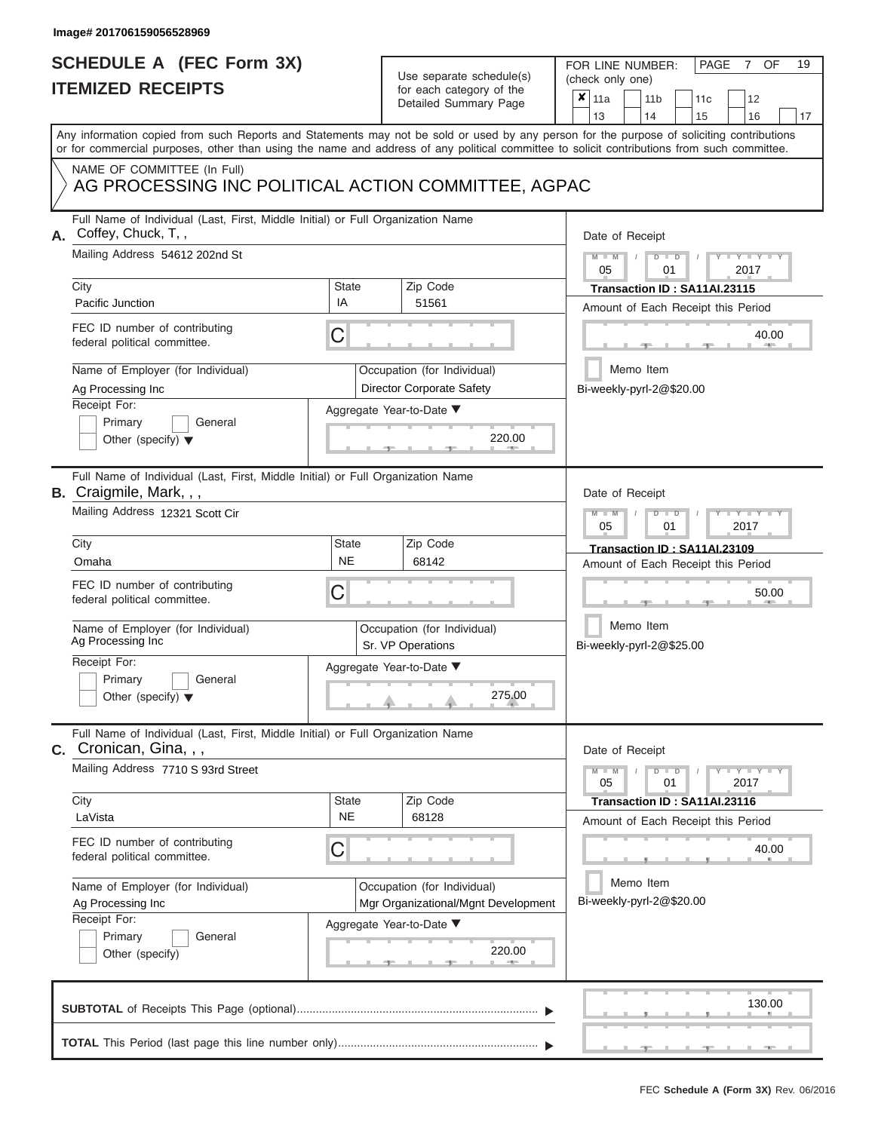# **SCHEDULE A (FEC Form 3X)**

# Use separate schedule(s)

| SCHEDULE A (FEC Form 3X)<br><b>ITEMIZED RECEIPTS</b>                                                                                                                                                                                                                                    |                    | Use separate schedule(s)<br>for each category of the<br>Detailed Summary Page        | 19<br>FOR LINE NUMBER:<br><b>PAGE</b><br><b>OF</b><br>7<br>(check only one)<br>$\boldsymbol{x}$<br>11a<br>11 <sub>b</sub><br>11c<br>12 |
|-----------------------------------------------------------------------------------------------------------------------------------------------------------------------------------------------------------------------------------------------------------------------------------------|--------------------|--------------------------------------------------------------------------------------|----------------------------------------------------------------------------------------------------------------------------------------|
| Any information copied from such Reports and Statements may not be sold or used by any person for the purpose of soliciting contributions<br>or for commercial purposes, other than using the name and address of any political committee to solicit contributions from such committee. |                    |                                                                                      | 13<br>14<br>15<br>16<br>17                                                                                                             |
| NAME OF COMMITTEE (In Full)<br>AG PROCESSING INC POLITICAL ACTION COMMITTEE, AGPAC                                                                                                                                                                                                      |                    |                                                                                      |                                                                                                                                        |
| Full Name of Individual (Last, First, Middle Initial) or Full Organization Name<br>Coffey, Chuck, T,,<br>А.<br>Mailing Address 54612 202nd St                                                                                                                                           |                    |                                                                                      | Date of Receipt<br>$M - M$<br>$D$ $D$<br>$Y - Y - I$<br>05<br>01<br>2017                                                               |
| City<br>Pacific Junction                                                                                                                                                                                                                                                                | <b>State</b><br>IA | Zip Code<br>51561                                                                    | Transaction ID: SA11AI.23115<br>Amount of Each Receipt this Period                                                                     |
| FEC ID number of contributing<br>federal political committee.                                                                                                                                                                                                                           | C                  |                                                                                      | 40.00<br><b>AND</b>                                                                                                                    |
| Name of Employer (for Individual)<br>Ag Processing Inc<br>Receipt For:                                                                                                                                                                                                                  |                    | Occupation (for Individual)<br>Director Corporate Safety<br>Aggregate Year-to-Date ▼ | Memo Item<br>Bi-weekly-pyrl-2@\$20.00                                                                                                  |
| Primary<br>General<br>Other (specify) $\blacktriangledown$                                                                                                                                                                                                                              |                    | 220.00                                                                               |                                                                                                                                        |
| Full Name of Individual (Last, First, Middle Initial) or Full Organization Name<br><b>B.</b> Craigmile, Mark, , ,<br>Mailing Address 12321 Scott Cir                                                                                                                                    |                    |                                                                                      | Date of Receipt<br>$M - M$<br>$D$ $\Box$ $D$<br>Y Y                                                                                    |
| City                                                                                                                                                                                                                                                                                    | State              | Zip Code                                                                             | 05<br>01<br>2017<br>Transaction ID: SA11AI.23109                                                                                       |
| Omaha                                                                                                                                                                                                                                                                                   | <b>NE</b>          | 68142                                                                                | Amount of Each Receipt this Period                                                                                                     |
| FEC ID number of contributing<br>federal political committee.                                                                                                                                                                                                                           | С                  |                                                                                      | 50.00                                                                                                                                  |
| Name of Employer (for Individual)<br>Ag Processing Inc                                                                                                                                                                                                                                  |                    | Occupation (for Individual)<br>Sr. VP Operations                                     | Memo Item<br>Bi-weekly-pyrl-2@\$25.00                                                                                                  |
| Receipt For:                                                                                                                                                                                                                                                                            |                    | Aggregate Year-to-Date ▼                                                             |                                                                                                                                        |
| Primary<br>General<br>Other (specify) $\blacktriangledown$                                                                                                                                                                                                                              |                    | 275.00                                                                               |                                                                                                                                        |
| Full Name of Individual (Last, First, Middle Initial) or Full Organization Name<br><b>C.</b> Cronican, Gina, , ,                                                                                                                                                                        |                    |                                                                                      | Date of Receipt                                                                                                                        |
| Mailing Address 7710 S 93rd Street                                                                                                                                                                                                                                                      |                    |                                                                                      | $M - M$<br>$D$ $D$<br>$T-T$ $T$ $T$ $T$ $T$ $T$<br>01<br>2017<br>05                                                                    |
| City<br>LaVista                                                                                                                                                                                                                                                                         | State<br><b>NE</b> | Zip Code<br>68128                                                                    | Transaction ID: SA11AI.23116<br>Amount of Each Receipt this Period                                                                     |
| FEC ID number of contributing<br>federal political committee.                                                                                                                                                                                                                           | С                  |                                                                                      | 40.00                                                                                                                                  |
| Name of Employer (for Individual)<br>Ag Processing Inc<br>Receipt For:<br>Primary<br>General<br>Other (specify)                                                                                                                                                                         |                    | Occupation (for Individual)<br>Mgr Organizational/Mgnt Development                   | Memo Item<br>Bi-weekly-pyrl-2@\$20.00                                                                                                  |
|                                                                                                                                                                                                                                                                                         |                    | Aggregate Year-to-Date ▼<br>220.00                                                   |                                                                                                                                        |
|                                                                                                                                                                                                                                                                                         |                    |                                                                                      | 130.00                                                                                                                                 |
|                                                                                                                                                                                                                                                                                         |                    |                                                                                      |                                                                                                                                        |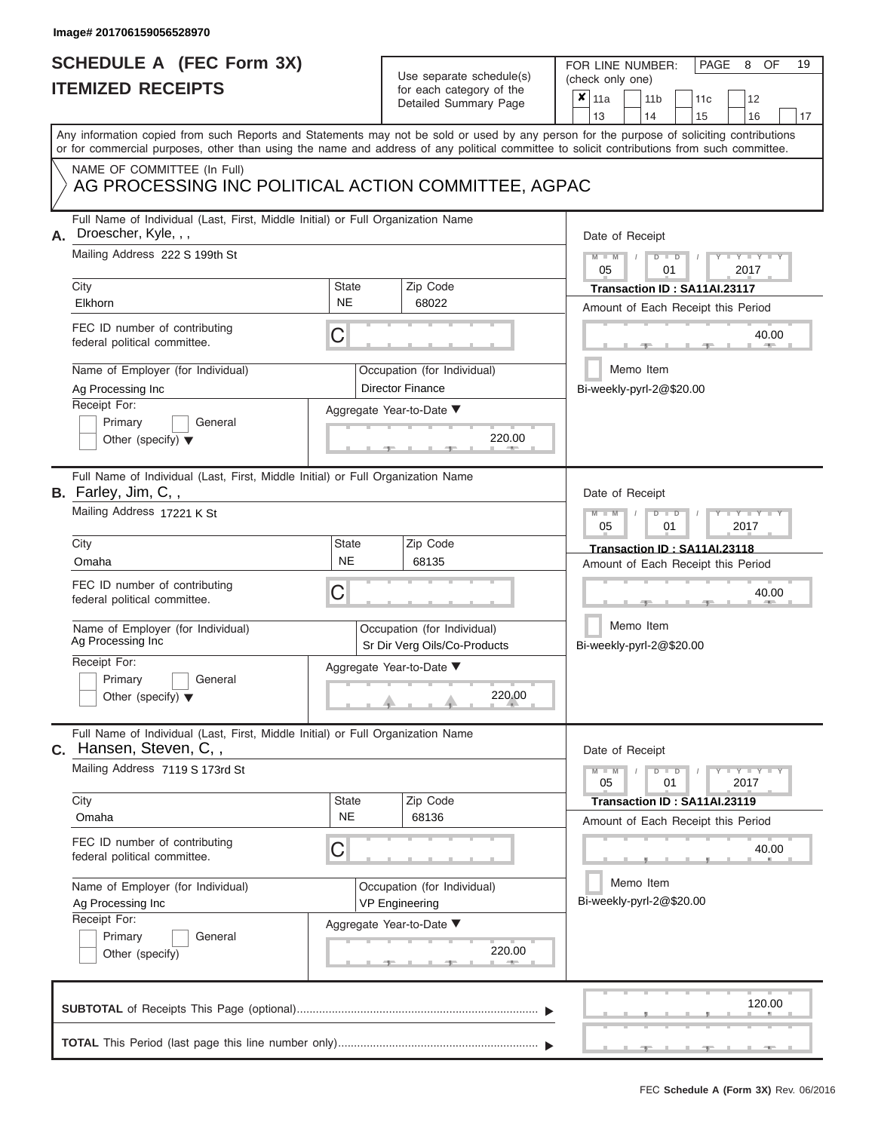### **SCHEDULE A (FEC Form 3X) ITEMIZED RECEIPTS**

# Use separate schedule(s)

| <b>ITEMIZED RECEIPTS</b>                                                                                      | SCHEDULE A (FEC Form 3X)  |                                                             | 19<br>FOR LINE NUMBER:<br>PAGE<br>OF<br>8<br>(check only one)                                                                                                                                                                                                                           |
|---------------------------------------------------------------------------------------------------------------|---------------------------|-------------------------------------------------------------|-----------------------------------------------------------------------------------------------------------------------------------------------------------------------------------------------------------------------------------------------------------------------------------------|
|                                                                                                               |                           | for each category of the<br>Detailed Summary Page           | ×<br>11a<br>11 <sub>b</sub><br>12<br>11 <sub>c</sub><br>14<br>13<br>15<br>16<br>17                                                                                                                                                                                                      |
|                                                                                                               |                           |                                                             | Any information copied from such Reports and Statements may not be sold or used by any person for the purpose of soliciting contributions<br>or for commercial purposes, other than using the name and address of any political committee to solicit contributions from such committee. |
| NAME OF COMMITTEE (In Full)<br>AG PROCESSING INC POLITICAL ACTION COMMITTEE, AGPAC                            |                           |                                                             |                                                                                                                                                                                                                                                                                         |
| Full Name of Individual (Last, First, Middle Initial) or Full Organization Name<br>Droescher, Kyle, , ,<br>А. |                           |                                                             | Date of Receipt                                                                                                                                                                                                                                                                         |
| Mailing Address 222 S 199th St<br>City                                                                        | State                     | Zip Code                                                    | $M = M$ /<br>$D$ $\Box$ $D$<br>$Y - Y - Y$<br>05<br>01<br>2017<br>Transaction ID: SA11AI.23117                                                                                                                                                                                          |
| Elkhorn                                                                                                       | <b>NE</b>                 | 68022                                                       | Amount of Each Receipt this Period                                                                                                                                                                                                                                                      |
| FEC ID number of contributing<br>federal political committee.                                                 | С                         |                                                             | 40.00                                                                                                                                                                                                                                                                                   |
| Name of Employer (for Individual)<br>Ag Processing Inc                                                        |                           | Occupation (for Individual)<br><b>Director Finance</b>      | Memo Item<br>Bi-weekly-pyrl-2@\$20.00                                                                                                                                                                                                                                                   |
| Receipt For:                                                                                                  |                           | Aggregate Year-to-Date ▼                                    |                                                                                                                                                                                                                                                                                         |
| Primary<br>General<br>Other (specify) $\blacktriangledown$                                                    |                           | 220.00                                                      |                                                                                                                                                                                                                                                                                         |
| Full Name of Individual (Last, First, Middle Initial) or Full Organization Name<br>B. Farley, Jim, C,,        |                           |                                                             | Date of Receipt                                                                                                                                                                                                                                                                         |
| Mailing Address 17221 K St                                                                                    |                           |                                                             | $M - M$<br>$D$ $D$<br>YIYI<br>05<br>2017<br>01                                                                                                                                                                                                                                          |
| City                                                                                                          | State                     | Zip Code                                                    | Transaction ID: SA11AI.23118                                                                                                                                                                                                                                                            |
| Omaha                                                                                                         | <b>NE</b>                 | 68135                                                       | Amount of Each Receipt this Period                                                                                                                                                                                                                                                      |
| FEC ID number of contributing<br>federal political committee.                                                 | С                         |                                                             | 40.00                                                                                                                                                                                                                                                                                   |
| Name of Employer (for Individual)<br>Ag Processing Inc                                                        |                           | Occupation (for Individual)<br>Sr Dir Verg Oils/Co-Products | Memo Item<br>Bi-weekly-pyrl-2@\$20.00                                                                                                                                                                                                                                                   |
| Receipt For:                                                                                                  |                           | Aggregate Year-to-Date ▼                                    |                                                                                                                                                                                                                                                                                         |
| Primary<br>General<br>Other (specify) $\blacktriangledown$                                                    |                           | 220.00                                                      |                                                                                                                                                                                                                                                                                         |
| Full Name of Individual (Last, First, Middle Initial) or Full Organization Name<br>C. Hansen, Steven, C,,     |                           |                                                             | Date of Receipt                                                                                                                                                                                                                                                                         |
| Mailing Address 7119 S 173rd St                                                                               |                           |                                                             | $D$ $\Box$ $D$<br>$M - M$<br>$+Y+Y+Y$<br>05<br>01<br>2017                                                                                                                                                                                                                               |
| City<br>Omaha                                                                                                 | <b>State</b><br><b>NE</b> | Zip Code<br>68136                                           | Transaction ID: SA11AI.23119<br>Amount of Each Receipt this Period                                                                                                                                                                                                                      |
| FEC ID number of contributing<br>federal political committee.                                                 | С                         |                                                             | 40.00                                                                                                                                                                                                                                                                                   |
| Name of Employer (for Individual)<br>Ag Processing Inc                                                        |                           | Occupation (for Individual)<br><b>VP Engineering</b>        | Memo Item<br>Bi-weekly-pyrl-2@\$20.00                                                                                                                                                                                                                                                   |
| Receipt For:<br>Primary<br>General<br>Other (specify)                                                         |                           | Aggregate Year-to-Date ▼<br>220.00<br>$-1$                  |                                                                                                                                                                                                                                                                                         |
|                                                                                                               |                           |                                                             | 120.00                                                                                                                                                                                                                                                                                  |
|                                                                                                               |                           |                                                             |                                                                                                                                                                                                                                                                                         |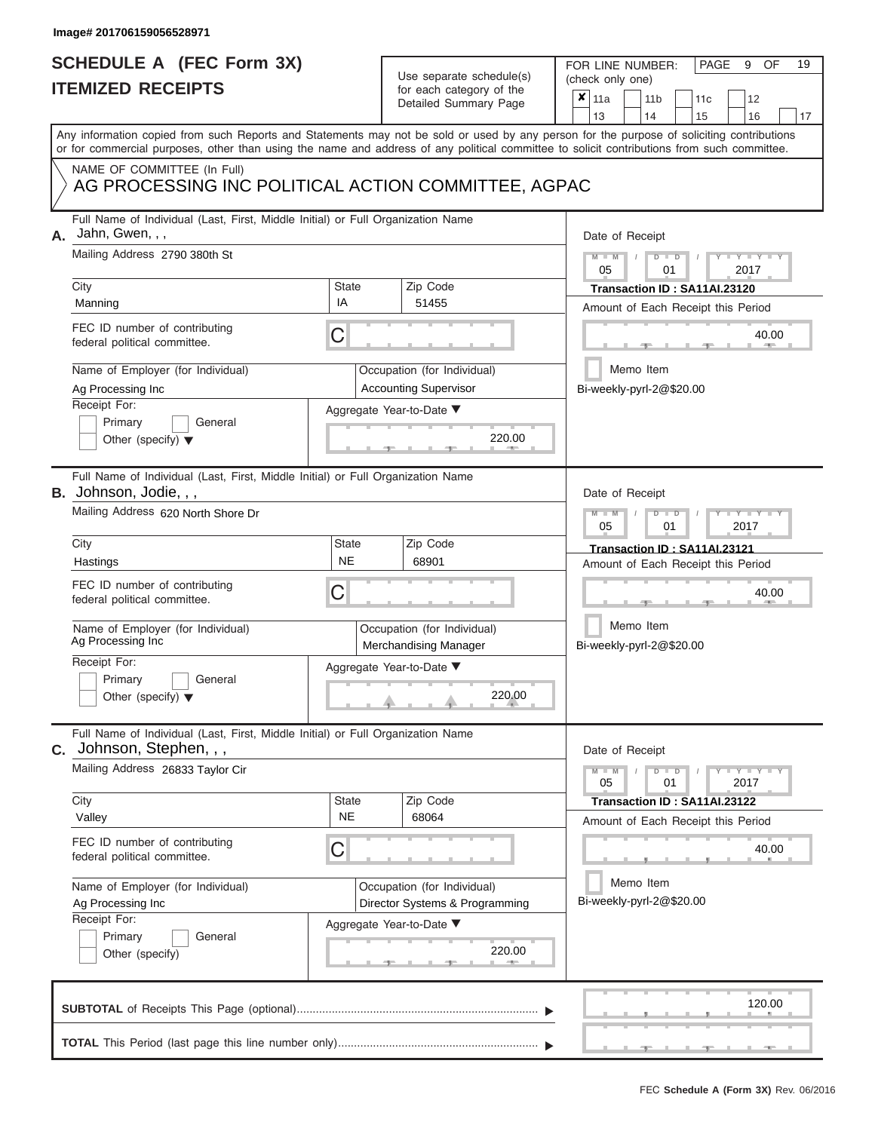|                          | SCHEDULE A (FEC Form 3X) |
|--------------------------|--------------------------|
| <b>ITEMIZED RECEIPTS</b> |                          |

FOR LINE NUMBER:<br>(check only one)

PAGE 9 OF 19

|    | <u>IIEMIZED RECEIPIS</u>                                                                                                                                                                                                                                                                |                                                               | for each category of the<br>Detailed Summary Page           | X                                                                  | 11a<br>13                                                          |                                       | 11 <sub>b</sub><br>14                                              | 11c<br>15      | 12<br>16        | 17 |  |
|----|-----------------------------------------------------------------------------------------------------------------------------------------------------------------------------------------------------------------------------------------------------------------------------------------|---------------------------------------------------------------|-------------------------------------------------------------|--------------------------------------------------------------------|--------------------------------------------------------------------|---------------------------------------|--------------------------------------------------------------------|----------------|-----------------|----|--|
|    | Any information copied from such Reports and Statements may not be sold or used by any person for the purpose of soliciting contributions<br>or for commercial purposes, other than using the name and address of any political committee to solicit contributions from such committee. |                                                               |                                                             |                                                                    |                                                                    |                                       |                                                                    |                |                 |    |  |
|    | NAME OF COMMITTEE (In Full)<br>AG PROCESSING INC POLITICAL ACTION COMMITTEE, AGPAC                                                                                                                                                                                                      |                                                               |                                                             |                                                                    |                                                                    |                                       |                                                                    |                |                 |    |  |
| А. | Full Name of Individual (Last, First, Middle Initial) or Full Organization Name<br>Jahn, Gwen, , ,<br>Mailing Address 2790 380th St                                                                                                                                                     |                                                               |                                                             |                                                                    |                                                                    | Date of Receipt                       |                                                                    |                |                 |    |  |
|    | City<br><b>State</b><br>Zip Code                                                                                                                                                                                                                                                        |                                                               |                                                             |                                                                    | $Y - Y$<br>2017<br>05<br>01                                        |                                       |                                                                    |                |                 |    |  |
|    | Manning                                                                                                                                                                                                                                                                                 | ΙA<br>51455                                                   |                                                             |                                                                    | Transaction ID: SA11AI.23120<br>Amount of Each Receipt this Period |                                       |                                                                    |                |                 |    |  |
|    | FEC ID number of contributing<br>federal political committee.                                                                                                                                                                                                                           | C                                                             |                                                             |                                                                    |                                                                    |                                       |                                                                    |                | 40.00           |    |  |
|    | Name of Employer (for Individual)<br>Ag Processing Inc                                                                                                                                                                                                                                  |                                                               | Occupation (for Individual)<br><b>Accounting Supervisor</b> |                                                                    |                                                                    |                                       | Memo Item<br>Bi-weekly-pyrl-2@\$20.00                              |                |                 |    |  |
|    | Receipt For:<br>Primary<br>General<br>Other (specify) $\blacktriangledown$                                                                                                                                                                                                              |                                                               | Aggregate Year-to-Date ▼<br>220.00                          |                                                                    |                                                                    |                                       |                                                                    |                |                 |    |  |
|    | Full Name of Individual (Last, First, Middle Initial) or Full Organization Name<br><b>B.</b> Johnson, Jodie, , ,                                                                                                                                                                        |                                                               |                                                             |                                                                    | Date of Receipt                                                    |                                       |                                                                    |                |                 |    |  |
|    | Mailing Address 620 North Shore Dr                                                                                                                                                                                                                                                      |                                                               |                                                             |                                                                    | 2017<br>05<br>01                                                   |                                       |                                                                    |                |                 |    |  |
|    | City<br>Hastings                                                                                                                                                                                                                                                                        | <b>State</b><br><b>NE</b>                                     | Zip Code<br>68901                                           | Transaction ID: SA11AI.23121<br>Amount of Each Receipt this Period |                                                                    |                                       |                                                                    |                |                 |    |  |
|    | FEC ID number of contributing<br>С<br>federal political committee.                                                                                                                                                                                                                      |                                                               |                                                             |                                                                    |                                                                    |                                       | 40.00                                                              |                |                 |    |  |
|    | Name of Employer (for Individual)<br>Ag Processing Inc                                                                                                                                                                                                                                  | Occupation (for Individual)<br>Merchandising Manager          |                                                             | Memo Item<br>Bi-weekly-pyrl-2@\$20.00                              |                                                                    |                                       |                                                                    |                |                 |    |  |
|    | Receipt For:<br>Primary<br>General<br>Other (specify) $\blacktriangledown$                                                                                                                                                                                                              |                                                               | Aggregate Year-to-Date ▼<br>220.00                          |                                                                    |                                                                    |                                       |                                                                    |                |                 |    |  |
|    | Full Name of Individual (Last, First, Middle Initial) or Full Organization Name<br>C. Johnson, Stephen, , ,                                                                                                                                                                             |                                                               |                                                             |                                                                    | Date of Receipt                                                    |                                       |                                                                    |                |                 |    |  |
|    | Mailing Address 26833 Taylor Cir                                                                                                                                                                                                                                                        |                                                               |                                                             |                                                                    | 05                                                                 |                                       | 01                                                                 | $\blacksquare$ | $Y - Y$<br>2017 |    |  |
|    | City<br>Valley                                                                                                                                                                                                                                                                          | <b>State</b><br><b>NE</b>                                     |                                                             |                                                                    |                                                                    |                                       | Transaction ID: SA11AI.23122<br>Amount of Each Receipt this Period |                |                 |    |  |
|    | FEC ID number of contributing<br>federal political committee.                                                                                                                                                                                                                           | С                                                             |                                                             |                                                                    |                                                                    |                                       |                                                                    |                | 40.00           |    |  |
|    | Name of Employer (for Individual)<br>Ag Processing Inc<br>Receipt For:                                                                                                                                                                                                                  | Occupation (for Individual)<br>Director Systems & Programming |                                                             |                                                                    |                                                                    | Memo Item<br>Bi-weekly-pyrl-2@\$20.00 |                                                                    |                |                 |    |  |
|    | Primary<br>General<br>Other (specify)                                                                                                                                                                                                                                                   |                                                               | Aggregate Year-to-Date ▼<br>220.00                          |                                                                    |                                                                    |                                       |                                                                    |                |                 |    |  |
|    |                                                                                                                                                                                                                                                                                         |                                                               |                                                             |                                                                    |                                                                    |                                       |                                                                    |                | 120.00          |    |  |
|    |                                                                                                                                                                                                                                                                                         |                                                               |                                                             |                                                                    |                                                                    |                                       |                                                                    |                |                 |    |  |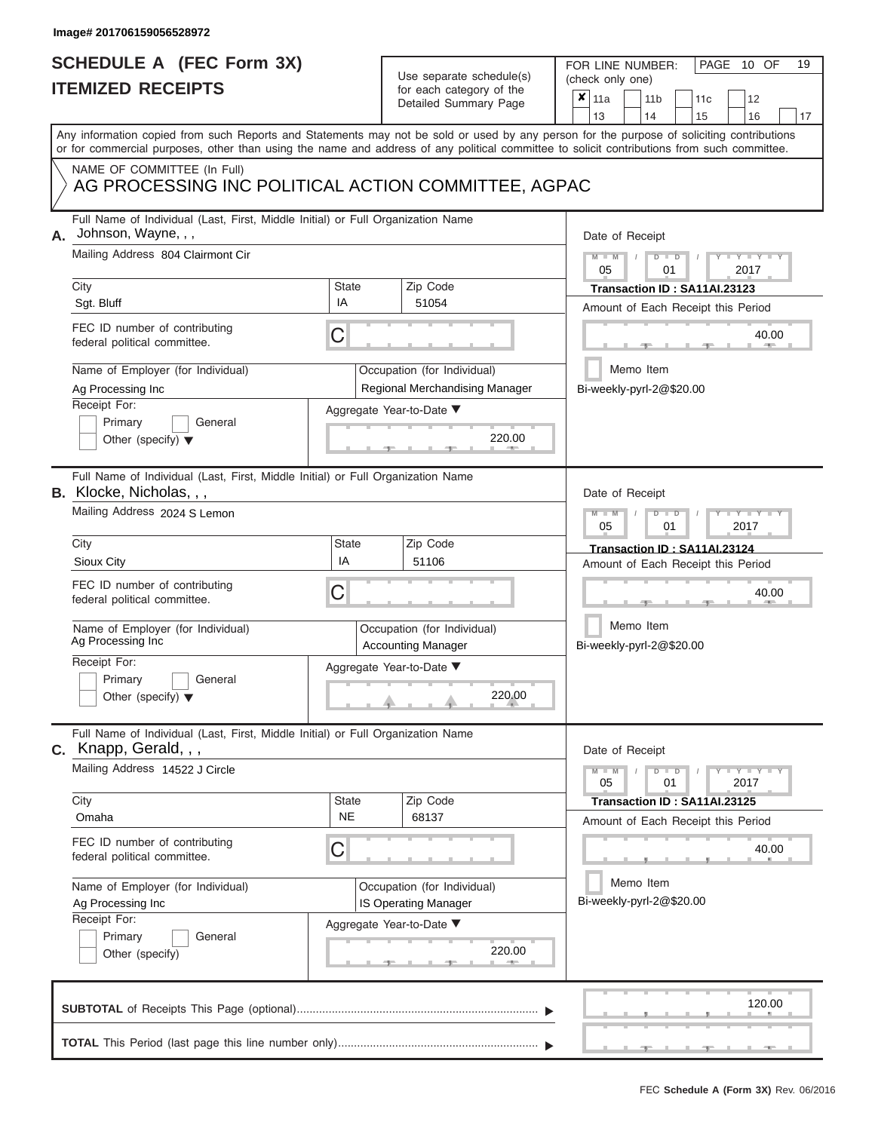# **SCHEDULE A (FEC Form 3X)**

# Use separate schedule(s)

| SCHEDULE A (FEC Form 3X)<br><b>ITEMIZED RECEIPTS</b>                                                                                               |                                                                                                                                                                                                                                                                                         | Use separate schedule(s)<br>for each category of the | 19<br>FOR LINE NUMBER:<br>PAGE 10 OF<br>(check only one)                                  |                                                                                                                                            |  |  |  |  |
|----------------------------------------------------------------------------------------------------------------------------------------------------|-----------------------------------------------------------------------------------------------------------------------------------------------------------------------------------------------------------------------------------------------------------------------------------------|------------------------------------------------------|-------------------------------------------------------------------------------------------|--------------------------------------------------------------------------------------------------------------------------------------------|--|--|--|--|
|                                                                                                                                                    |                                                                                                                                                                                                                                                                                         |                                                      | Detailed Summary Page                                                                     | $\boldsymbol{x}$<br>11a<br>11 <sub>b</sub><br>12<br>11 <sub>c</sub><br>13<br>14<br>15<br>16<br>17                                          |  |  |  |  |
|                                                                                                                                                    | Any information copied from such Reports and Statements may not be sold or used by any person for the purpose of soliciting contributions<br>or for commercial purposes, other than using the name and address of any political committee to solicit contributions from such committee. |                                                      |                                                                                           |                                                                                                                                            |  |  |  |  |
|                                                                                                                                                    | NAME OF COMMITTEE (In Full)<br>AG PROCESSING INC POLITICAL ACTION COMMITTEE, AGPAC                                                                                                                                                                                                      |                                                      |                                                                                           |                                                                                                                                            |  |  |  |  |
| Full Name of Individual (Last, First, Middle Initial) or Full Organization Name<br>Johnson, Wayne, , ,<br>А.<br>Mailing Address 804 Clairmont Cir  |                                                                                                                                                                                                                                                                                         |                                                      |                                                                                           | Date of Receipt<br>$M - M$<br>$D$ $D$<br>$Y - Y - I$                                                                                       |  |  |  |  |
|                                                                                                                                                    | City<br>Sgt. Bluff                                                                                                                                                                                                                                                                      | State<br>IA                                          | Zip Code<br>51054                                                                         | 05<br>2017<br>01<br>Transaction ID: SA11AI.23123                                                                                           |  |  |  |  |
|                                                                                                                                                    | FEC ID number of contributing<br>federal political committee.                                                                                                                                                                                                                           | С                                                    |                                                                                           | Amount of Each Receipt this Period<br>40.00                                                                                                |  |  |  |  |
|                                                                                                                                                    | Name of Employer (for Individual)<br>Ag Processing Inc<br>Receipt For:<br>Primary<br>General                                                                                                                                                                                            |                                                      | Occupation (for Individual)<br>Regional Merchandising Manager<br>Aggregate Year-to-Date ▼ | Memo Item<br>Bi-weekly-pyrl-2@\$20.00                                                                                                      |  |  |  |  |
|                                                                                                                                                    | Other (specify) $\blacktriangledown$                                                                                                                                                                                                                                                    |                                                      | 220.00                                                                                    |                                                                                                                                            |  |  |  |  |
| Full Name of Individual (Last, First, Middle Initial) or Full Organization Name<br><b>B.</b> Klocke, Nicholas, , ,<br>Mailing Address 2024 S Lemon |                                                                                                                                                                                                                                                                                         |                                                      |                                                                                           | Date of Receipt<br>$M - M$<br>$D$ $D$<br>Y TY T<br>05                                                                                      |  |  |  |  |
|                                                                                                                                                    | City<br>Sioux City                                                                                                                                                                                                                                                                      | <b>State</b><br>IA                                   | Zip Code<br>51106                                                                         | 2017<br>01<br>Transaction ID: SA11AI.23124<br>Amount of Each Receipt this Period                                                           |  |  |  |  |
|                                                                                                                                                    | FEC ID number of contributing<br>С<br>federal political committee.                                                                                                                                                                                                                      |                                                      |                                                                                           | 40.00                                                                                                                                      |  |  |  |  |
|                                                                                                                                                    | Name of Employer (for Individual)<br>Ag Processing Inc                                                                                                                                                                                                                                  |                                                      | Occupation (for Individual)<br><b>Accounting Manager</b>                                  | Memo Item<br>Bi-weekly-pyrl-2@\$20.00                                                                                                      |  |  |  |  |
|                                                                                                                                                    | Receipt For:<br>Primary<br>General<br>Other (specify) $\blacktriangledown$                                                                                                                                                                                                              |                                                      | Aggregate Year-to-Date ▼<br>220.00                                                        |                                                                                                                                            |  |  |  |  |
|                                                                                                                                                    | Full Name of Individual (Last, First, Middle Initial) or Full Organization Name<br>C. Knapp, Gerald, , ,                                                                                                                                                                                |                                                      |                                                                                           | Date of Receipt                                                                                                                            |  |  |  |  |
|                                                                                                                                                    | Mailing Address 14522 J Circle<br>City                                                                                                                                                                                                                                                  | <b>State</b>                                         | Zip Code                                                                                  | $M - M$<br>$\mathbf{I} = \mathbf{Y} - \mathbf{I} - \mathbf{Y} - \mathbf{I}$<br>$D$ $D$<br>05<br>01<br>2017<br>Transaction ID: SA11AI.23125 |  |  |  |  |
|                                                                                                                                                    | Omaha                                                                                                                                                                                                                                                                                   | <b>NE</b>                                            | 68137                                                                                     | Amount of Each Receipt this Period                                                                                                         |  |  |  |  |
|                                                                                                                                                    | FEC ID number of contributing<br>federal political committee.                                                                                                                                                                                                                           | С                                                    |                                                                                           | 40.00                                                                                                                                      |  |  |  |  |
|                                                                                                                                                    | Name of Employer (for Individual)<br>Ag Processing Inc<br>Receipt For:                                                                                                                                                                                                                  |                                                      | Occupation (for Individual)<br>IS Operating Manager                                       | Memo Item<br>Bi-weekly-pyrl-2@\$20.00                                                                                                      |  |  |  |  |
|                                                                                                                                                    | Primary<br>General<br>Other (specify)                                                                                                                                                                                                                                                   |                                                      | Aggregate Year-to-Date ▼<br>220.00                                                        |                                                                                                                                            |  |  |  |  |
|                                                                                                                                                    |                                                                                                                                                                                                                                                                                         |                                                      |                                                                                           | 120.00                                                                                                                                     |  |  |  |  |
|                                                                                                                                                    |                                                                                                                                                                                                                                                                                         |                                                      |                                                                                           |                                                                                                                                            |  |  |  |  |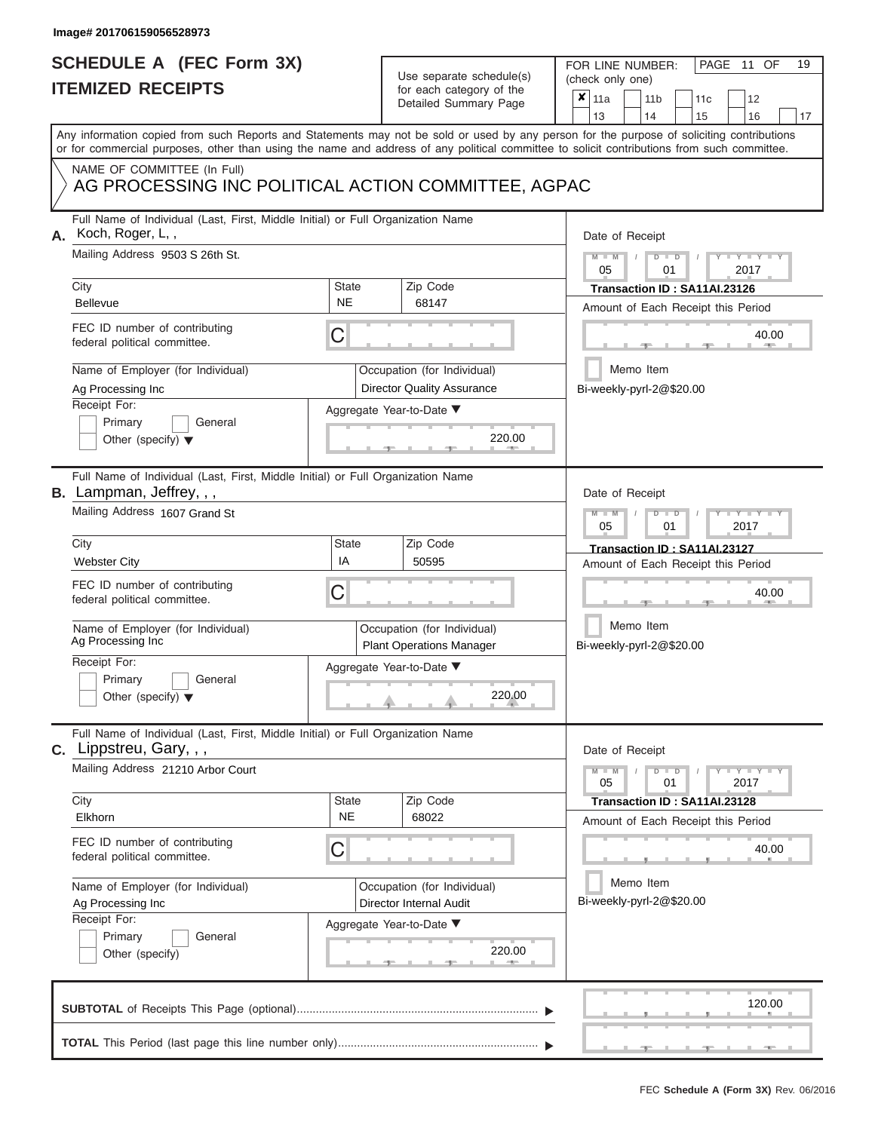# **SCHEDULE A (FEC Form 3X)**

| SCHEDULE A (FEC Form 3X)                                                                                                               |                           | Use separate schedule(s)                                                        | 19<br>FOR LINE NUMBER:<br>PAGE 11 OF                                                                                                                                                                                                                                                    |  |  |  |  |  |  |  |
|----------------------------------------------------------------------------------------------------------------------------------------|---------------------------|---------------------------------------------------------------------------------|-----------------------------------------------------------------------------------------------------------------------------------------------------------------------------------------------------------------------------------------------------------------------------------------|--|--|--|--|--|--|--|
| <b>ITEMIZED RECEIPTS</b>                                                                                                               |                           | for each category of the<br>Detailed Summary Page                               | (check only one)<br>×<br>11a<br>11 <sub>b</sub><br>12<br>11c<br>13<br>14<br>15<br>16<br>17                                                                                                                                                                                              |  |  |  |  |  |  |  |
|                                                                                                                                        |                           |                                                                                 | Any information copied from such Reports and Statements may not be sold or used by any person for the purpose of soliciting contributions<br>or for commercial purposes, other than using the name and address of any political committee to solicit contributions from such committee. |  |  |  |  |  |  |  |
| NAME OF COMMITTEE (In Full)<br>AG PROCESSING INC POLITICAL ACTION COMMITTEE, AGPAC                                                     |                           |                                                                                 |                                                                                                                                                                                                                                                                                         |  |  |  |  |  |  |  |
| Full Name of Individual (Last, First, Middle Initial) or Full Organization Name<br>Koch, Roger, L,,<br>Mailing Address 9503 S 26th St. |                           |                                                                                 | Date of Receipt<br>$M - M$<br>$D$ $D$<br>$Y - Y - I$                                                                                                                                                                                                                                    |  |  |  |  |  |  |  |
| City<br>Bellevue                                                                                                                       | State<br><b>NE</b>        | Zip Code<br>68147                                                               | 05<br>01<br>2017<br>Transaction ID: SA11AI.23126                                                                                                                                                                                                                                        |  |  |  |  |  |  |  |
| FEC ID number of contributing<br>federal political committee.                                                                          | С                         |                                                                                 | Amount of Each Receipt this Period<br>40.00<br><b>AND IN</b>                                                                                                                                                                                                                            |  |  |  |  |  |  |  |
| Name of Employer (for Individual)<br>Ag Processing Inc                                                                                 |                           | Occupation (for Individual)<br><b>Director Quality Assurance</b>                | Memo Item<br>Bi-weekly-pyrl-2@\$20.00                                                                                                                                                                                                                                                   |  |  |  |  |  |  |  |
| Receipt For:<br>Primary<br>General<br>Other (specify) $\blacktriangledown$                                                             |                           | Aggregate Year-to-Date ▼<br>220.00<br><b>AND A</b>                              |                                                                                                                                                                                                                                                                                         |  |  |  |  |  |  |  |
| Full Name of Individual (Last, First, Middle Initial) or Full Organization Name<br>B. Lampman, Jeffrey, , ,                            |                           |                                                                                 | Date of Receipt                                                                                                                                                                                                                                                                         |  |  |  |  |  |  |  |
| Mailing Address 1607 Grand St                                                                                                          |                           |                                                                                 | $M - M$<br>$D$ $\Box$ $D$<br>Y I Y I<br>2017<br>05<br>01                                                                                                                                                                                                                                |  |  |  |  |  |  |  |
| City<br><b>Webster City</b>                                                                                                            | <b>State</b><br>IA        | Zip Code<br>50595                                                               | Transaction ID: SA11AI.23127<br>Amount of Each Receipt this Period                                                                                                                                                                                                                      |  |  |  |  |  |  |  |
| FEC ID number of contributing<br>federal political committee.                                                                          | С                         |                                                                                 | 40.00                                                                                                                                                                                                                                                                                   |  |  |  |  |  |  |  |
| Name of Employer (for Individual)<br>Ag Processing Inc                                                                                 |                           | Occupation (for Individual)<br><b>Plant Operations Manager</b>                  | Memo Item<br>Bi-weekly-pyrl-2@\$20.00                                                                                                                                                                                                                                                   |  |  |  |  |  |  |  |
| Receipt For:<br>Primary<br>General<br>Other (specify) $\blacktriangledown$                                                             |                           | Aggregate Year-to-Date ▼<br>$\begin{array}{c}\n 220.00 \\ \hline\n \end{array}$ |                                                                                                                                                                                                                                                                                         |  |  |  |  |  |  |  |
| Full Name of Individual (Last, First, Middle Initial) or Full Organization Name<br>C. Lippstreu, Gary, , ,                             |                           |                                                                                 | Date of Receipt                                                                                                                                                                                                                                                                         |  |  |  |  |  |  |  |
| Mailing Address 21210 Arbor Court                                                                                                      |                           |                                                                                 | $D$ $\Box$ $D$<br>$T - Y = T - Y$<br>$M - M$<br>05<br>01<br>2017                                                                                                                                                                                                                        |  |  |  |  |  |  |  |
| City<br>Elkhorn                                                                                                                        | <b>State</b><br><b>NE</b> | Zip Code<br>68022                                                               | Transaction ID: SA11AI.23128<br>Amount of Each Receipt this Period                                                                                                                                                                                                                      |  |  |  |  |  |  |  |
| FEC ID number of contributing<br>federal political committee.                                                                          | С                         |                                                                                 | 40.00                                                                                                                                                                                                                                                                                   |  |  |  |  |  |  |  |
| Name of Employer (for Individual)<br>Ag Processing Inc<br>Receipt For:                                                                 |                           | Occupation (for Individual)<br>Director Internal Audit                          | Memo Item<br>Bi-weekly-pyrl-2@\$20.00                                                                                                                                                                                                                                                   |  |  |  |  |  |  |  |
| Primary<br>General<br>Other (specify)                                                                                                  |                           | Aggregate Year-to-Date ▼<br>220.00<br>$-1$                                      |                                                                                                                                                                                                                                                                                         |  |  |  |  |  |  |  |
|                                                                                                                                        |                           |                                                                                 | 120.00                                                                                                                                                                                                                                                                                  |  |  |  |  |  |  |  |
|                                                                                                                                        |                           |                                                                                 |                                                                                                                                                                                                                                                                                         |  |  |  |  |  |  |  |

 ▲ ▲ ▲ , , .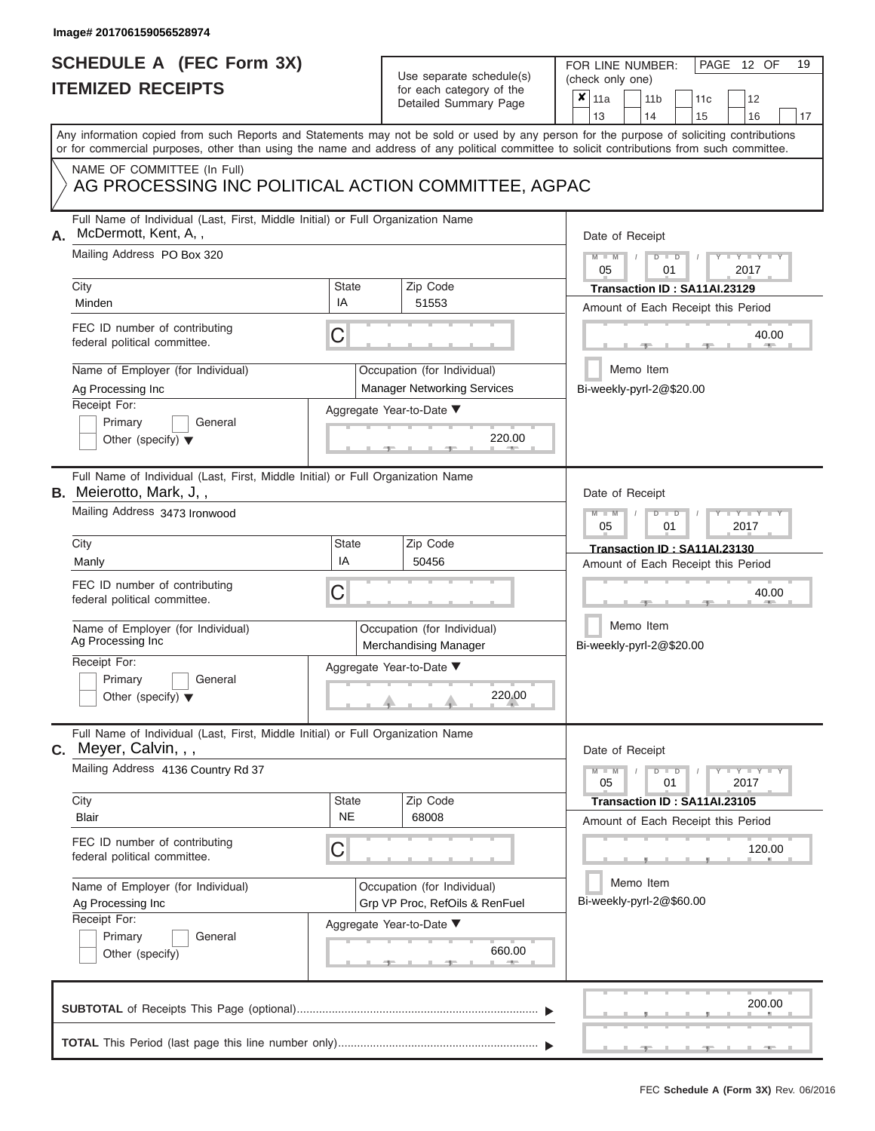ı

### **SCHEDULE A (FEC Form 3X) ITEMIZED RECEIPTS**

## Use separate schedule(s)

| SCHEDULE A (FEC Form 3X)                                                                                                                                                                                                                                                                 |                  | Use separate schedule(s)                                                                            | 19<br>FOR LINE NUMBER:<br>PAGE<br>12 OF<br>(check only one)                                                                                                                                  |  |  |  |  |  |  |  |
|------------------------------------------------------------------------------------------------------------------------------------------------------------------------------------------------------------------------------------------------------------------------------------------|------------------|-----------------------------------------------------------------------------------------------------|----------------------------------------------------------------------------------------------------------------------------------------------------------------------------------------------|--|--|--|--|--|--|--|
| <b>ITEMIZED RECEIPTS</b>                                                                                                                                                                                                                                                                 |                  | for each category of the<br>Detailed Summary Page                                                   | $\boldsymbol{x}$<br>11a<br>11 <sub>b</sub><br>12<br>11c<br>13<br>14<br>15<br>16<br>17                                                                                                        |  |  |  |  |  |  |  |
| Any information copied from such Reports and Statements may not be sold or used by any person for the purpose of soliciting contributions<br>or for commercial purposes, other than using the name and address of any political committee to solicit contributions from such committee.  |                  |                                                                                                     |                                                                                                                                                                                              |  |  |  |  |  |  |  |
| NAME OF COMMITTEE (In Full)<br>AG PROCESSING INC POLITICAL ACTION COMMITTEE, AGPAC                                                                                                                                                                                                       |                  |                                                                                                     |                                                                                                                                                                                              |  |  |  |  |  |  |  |
| Full Name of Individual (Last, First, Middle Initial) or Full Organization Name<br>McDermott, Kent, A,,<br>А.<br>Mailing Address PO Box 320<br>City<br>Minden<br>FEC ID number of contributing<br>federal political committee.<br>Name of Employer (for Individual)<br>Ag Processing Inc | State<br>IA<br>С | Zip Code<br>51553<br>Occupation (for Individual)<br><b>Manager Networking Services</b>              | Date of Receipt<br>$M - M$<br>$D$ $D$<br>$Y - Y$<br>05<br>01<br>2017<br>Transaction ID: SA11AI.23129<br>Amount of Each Receipt this Period<br>40.00<br>Memo Item<br>Bi-weekly-pyrl-2@\$20.00 |  |  |  |  |  |  |  |
| Receipt For:<br>Primary<br>General<br>Other (specify) $\blacktriangledown$                                                                                                                                                                                                               |                  | Aggregate Year-to-Date ▼<br>220.00                                                                  |                                                                                                                                                                                              |  |  |  |  |  |  |  |
| Full Name of Individual (Last, First, Middle Initial) or Full Organization Name<br><b>B.</b> Meierotto, Mark, J,,<br>Mailing Address 3473 Ironwood<br>City                                                                                                                               | <b>State</b>     | Zip Code                                                                                            | Date of Receipt<br>$M - M$<br>$D$ $D$<br>Y I Y I<br>05<br>2017<br>01                                                                                                                         |  |  |  |  |  |  |  |
| Manly<br>FEC ID number of contributing<br>federal political committee.<br>Name of Employer (for Individual)                                                                                                                                                                              | IA<br>С          | 50456<br>Occupation (for Individual)                                                                | Transaction ID: SA11AI.23130<br>Amount of Each Receipt this Period<br>40.00<br>Memo Item                                                                                                     |  |  |  |  |  |  |  |
| Ag Processing Inc<br>Receipt For:<br>Primary<br>General<br>Other (specify) $\blacktriangledown$                                                                                                                                                                                          |                  | Merchandising Manager<br>Aggregate Year-to-Date ▼<br>220.00                                         | Bi-weekly-pyrl-2@\$20.00                                                                                                                                                                     |  |  |  |  |  |  |  |
| Full Name of Individual (Last, First, Middle Initial) or Full Organization Name<br>$C.$ Meyer, Calvin, , ,<br>Mailing Address 4136 Country Rd 37<br>City                                                                                                                                 | <b>State</b>     | Zip Code                                                                                            | Date of Receipt<br>$M - M$<br>$D$ $D$<br>$\blacksquare$ $\vdash$ $\vdash$ $\vdash$ $\vdash$ $\vdash$<br>05<br>01<br>2017<br>Transaction ID: SA11AI.23105                                     |  |  |  |  |  |  |  |
| Blair<br>FEC ID number of contributing<br>federal political committee.                                                                                                                                                                                                                   | <b>NE</b><br>С   | 68008                                                                                               | Amount of Each Receipt this Period<br>120.00                                                                                                                                                 |  |  |  |  |  |  |  |
| Name of Employer (for Individual)<br>Ag Processing Inc<br>Receipt For:<br>Primary<br>General<br>Other (specify)                                                                                                                                                                          |                  | Occupation (for Individual)<br>Grp VP Proc, RefOils & RenFuel<br>Aggregate Year-to-Date ▼<br>660.00 | Memo Item<br>Bi-weekly-pyrl-2@\$60.00                                                                                                                                                        |  |  |  |  |  |  |  |
|                                                                                                                                                                                                                                                                                          |                  |                                                                                                     | 200.00                                                                                                                                                                                       |  |  |  |  |  |  |  |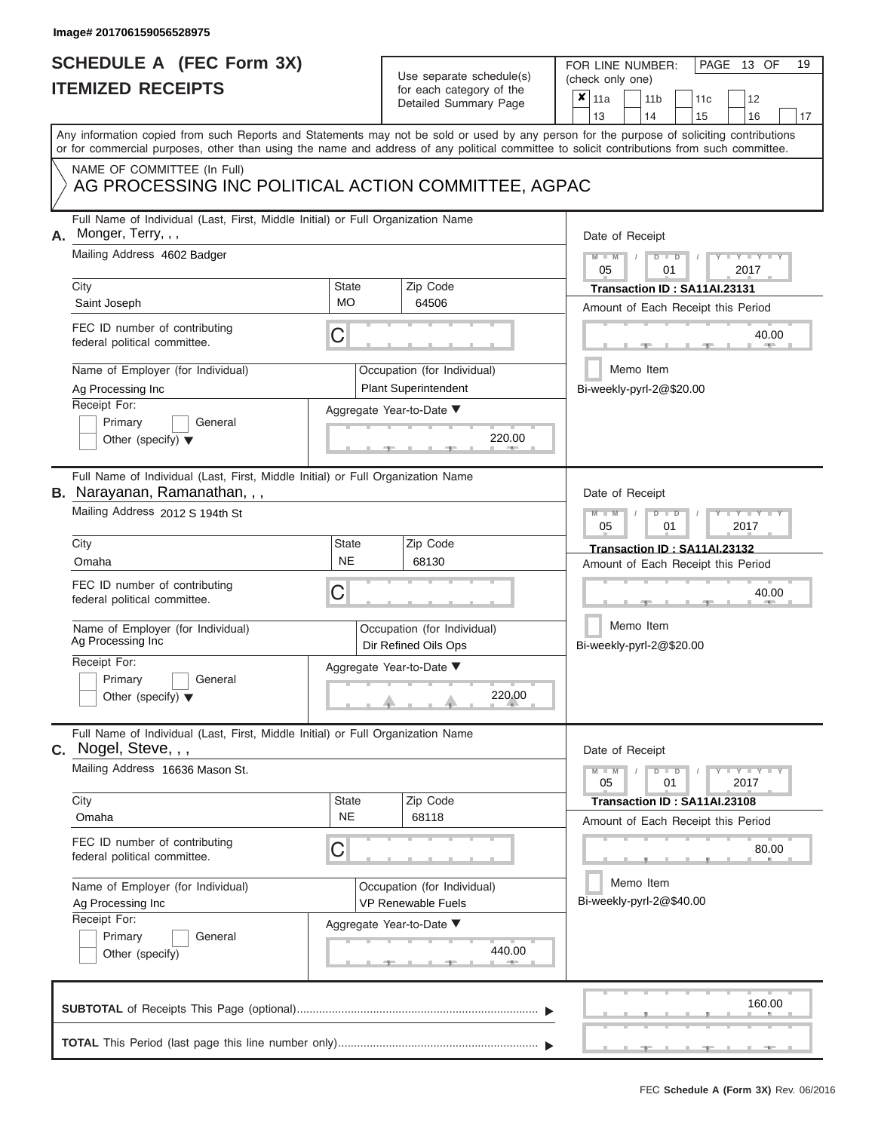# **SCHEDULE A (FEC Form 3X)**

# Use separate schedule(s)

|                                                        | SCHEDULE A (FEC Form 3X)<br><b>ITEMIZED RECEIPTS</b>                                                                                                                                                                                                                                    |                           | Use separate schedule(s)<br>for each category of the                                             | 19<br>FOR LINE NUMBER:<br>PAGE 13 OF<br>(check only one)                                                   |
|--------------------------------------------------------|-----------------------------------------------------------------------------------------------------------------------------------------------------------------------------------------------------------------------------------------------------------------------------------------|---------------------------|--------------------------------------------------------------------------------------------------|------------------------------------------------------------------------------------------------------------|
|                                                        |                                                                                                                                                                                                                                                                                         |                           | Detailed Summary Page                                                                            | $\boldsymbol{x}$<br>11a<br>11 <sub>b</sub><br>12<br>11 <sub>c</sub><br>13<br>14<br>15<br>16<br>17          |
|                                                        | Any information copied from such Reports and Statements may not be sold or used by any person for the purpose of soliciting contributions<br>or for commercial purposes, other than using the name and address of any political committee to solicit contributions from such committee. |                           |                                                                                                  |                                                                                                            |
|                                                        | NAME OF COMMITTEE (In Full)<br>AG PROCESSING INC POLITICAL ACTION COMMITTEE, AGPAC                                                                                                                                                                                                      |                           |                                                                                                  |                                                                                                            |
| А.                                                     | Full Name of Individual (Last, First, Middle Initial) or Full Organization Name<br>Monger, Terry, , ,<br>Mailing Address 4602 Badger                                                                                                                                                    |                           |                                                                                                  | Date of Receipt<br>$M - M$<br>$D$ $D$<br>$Y - Y - I$<br>05<br>01<br>2017                                   |
|                                                        | City<br>Saint Joseph                                                                                                                                                                                                                                                                    | State<br><b>MO</b>        | Zip Code<br>64506                                                                                | Transaction ID: SA11AI.23131<br>Amount of Each Receipt this Period                                         |
|                                                        | FEC ID number of contributing<br>federal political committee.                                                                                                                                                                                                                           | С                         |                                                                                                  | 40.00                                                                                                      |
|                                                        | Name of Employer (for Individual)<br>Ag Processing Inc<br>Receipt For:<br>Primary<br>General<br>Other (specify) $\blacktriangledown$                                                                                                                                                    |                           | Occupation (for Individual)<br><b>Plant Superintendent</b><br>Aggregate Year-to-Date ▼<br>220.00 | Memo Item<br>Bi-weekly-pyrl-2@\$20.00                                                                      |
|                                                        | Full Name of Individual (Last, First, Middle Initial) or Full Organization Name<br><b>B.</b> Narayanan, Ramanathan, , ,<br>Mailing Address 2012 S 194th St                                                                                                                              |                           |                                                                                                  | Date of Receipt<br>$M - M$<br>$D$ $D$<br>Y TY T<br>05<br>2017<br>01                                        |
|                                                        | City<br>Omaha                                                                                                                                                                                                                                                                           | <b>State</b><br><b>NE</b> | Zip Code<br>68130                                                                                | Transaction ID: SA11AI.23132<br>Amount of Each Receipt this Period                                         |
|                                                        | FEC ID number of contributing<br>federal political committee.                                                                                                                                                                                                                           | С                         |                                                                                                  | 40.00                                                                                                      |
|                                                        | Name of Employer (for Individual)<br>Ag Processing Inc                                                                                                                                                                                                                                  |                           | Occupation (for Individual)<br>Dir Refined Oils Ops                                              | Memo Item<br>Bi-weekly-pyrl-2@\$20.00                                                                      |
|                                                        | Receipt For:<br>Primary<br>General<br>Other (specify) $\blacktriangledown$                                                                                                                                                                                                              |                           | Aggregate Year-to-Date ▼<br>220.00                                                               |                                                                                                            |
|                                                        | Full Name of Individual (Last, First, Middle Initial) or Full Organization Name<br>C. Nogel, Steve, , ,                                                                                                                                                                                 |                           |                                                                                                  | Date of Receipt                                                                                            |
|                                                        | Mailing Address 16636 Mason St.<br>City                                                                                                                                                                                                                                                 | State                     | Zip Code                                                                                         | $M - M$<br>$D$ $D$<br>$\mathbf{I} = \mathbf{Y} - \mathbf{I} - \mathbf{Y} - \mathbf{I}$<br>05<br>01<br>2017 |
|                                                        | Omaha                                                                                                                                                                                                                                                                                   | <b>NE</b>                 | 68118                                                                                            | Transaction ID: SA11AI.23108<br>Amount of Each Receipt this Period                                         |
|                                                        | FEC ID number of contributing<br>federal political committee.                                                                                                                                                                                                                           | С                         |                                                                                                  | 80.00                                                                                                      |
| Name of Employer (for Individual)<br>Ag Processing Inc |                                                                                                                                                                                                                                                                                         |                           | Occupation (for Individual)<br><b>VP Renewable Fuels</b>                                         | Memo Item<br>Bi-weekly-pyrl-2@\$40.00                                                                      |
|                                                        | Receipt For:<br>Primary<br>General<br>Other (specify)                                                                                                                                                                                                                                   |                           | Aggregate Year-to-Date ▼<br>440.00                                                               |                                                                                                            |
|                                                        |                                                                                                                                                                                                                                                                                         |                           |                                                                                                  | 160.00                                                                                                     |
|                                                        |                                                                                                                                                                                                                                                                                         |                           |                                                                                                  |                                                                                                            |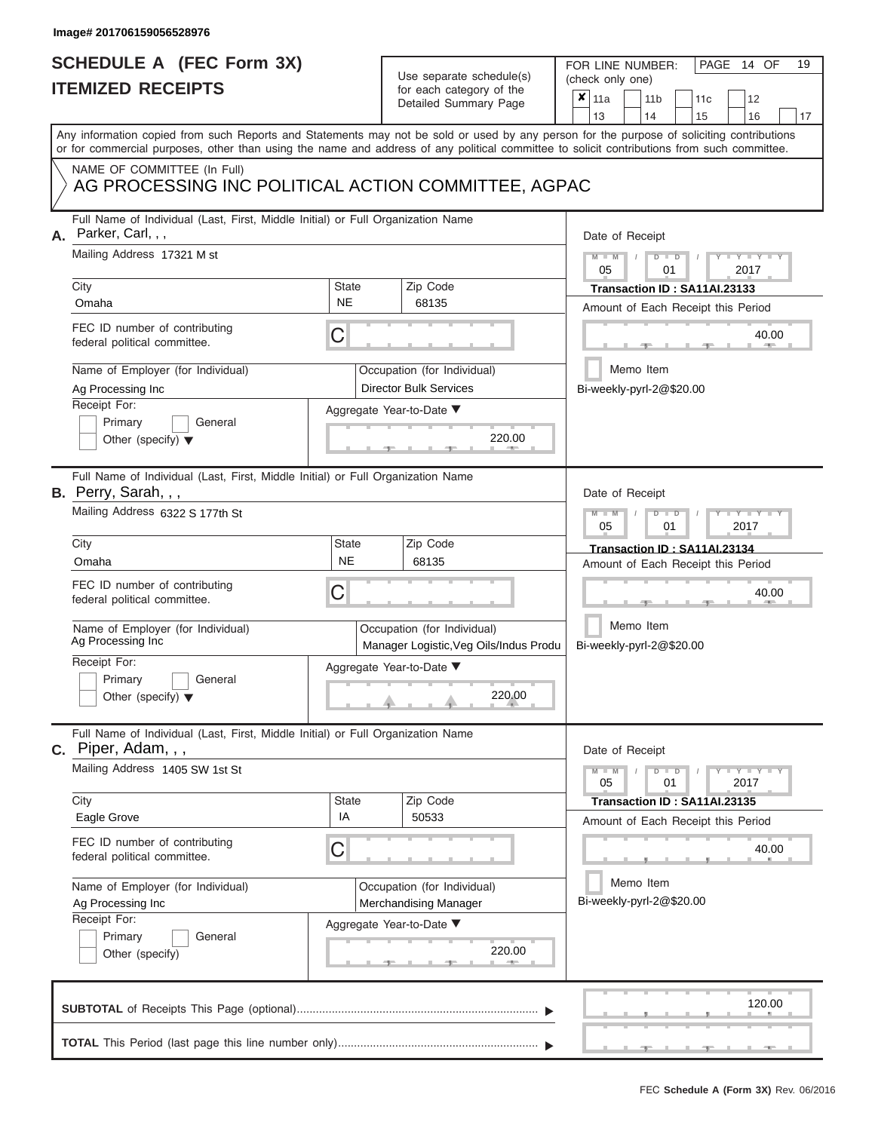### **SCHEDULE A (FEC Form 3X) ITEMIZED RECEIPTS**

# Use separate schedule(s)

FOR LINE NUMBER:<br>(check only one)

PAGE 14 OF 19

|    | <u>IIEMIZED RECEIPIS</u>                                                                                                                                                                                                                                                                |                           | for each category of the<br>Detailed Summary Page                     | ×                                           | 11a<br>13                                                          |           | 14                                                 | 11 <sub>b</sub>            | 11c<br>15                    |  | 12<br>16 | 17 |  |  |  |
|----|-----------------------------------------------------------------------------------------------------------------------------------------------------------------------------------------------------------------------------------------------------------------------------------------|---------------------------|-----------------------------------------------------------------------|---------------------------------------------|--------------------------------------------------------------------|-----------|----------------------------------------------------|----------------------------|------------------------------|--|----------|----|--|--|--|
|    | Any information copied from such Reports and Statements may not be sold or used by any person for the purpose of soliciting contributions<br>or for commercial purposes, other than using the name and address of any political committee to solicit contributions from such committee. |                           |                                                                       |                                             |                                                                    |           |                                                    |                            |                              |  |          |    |  |  |  |
|    | NAME OF COMMITTEE (In Full)<br>AG PROCESSING INC POLITICAL ACTION COMMITTEE, AGPAC                                                                                                                                                                                                      |                           |                                                                       |                                             |                                                                    |           |                                                    |                            |                              |  |          |    |  |  |  |
| А. | Full Name of Individual (Last, First, Middle Initial) or Full Organization Name<br>Parker, Carl, , ,                                                                                                                                                                                    |                           |                                                                       |                                             | Date of Receipt                                                    |           |                                                    |                            |                              |  |          |    |  |  |  |
|    | Mailing Address 17321 M st<br>City                                                                                                                                                                                                                                                      | <b>State</b>              | Zip Code                                                              |                                             | $Y - Y$<br>2017<br>05<br>01<br>Transaction ID: SA11AI.23133        |           |                                                    |                            |                              |  |          |    |  |  |  |
|    | Omaha                                                                                                                                                                                                                                                                                   | <b>NE</b>                 | 68135                                                                 |                                             |                                                                    |           |                                                    |                            |                              |  |          |    |  |  |  |
|    | FEC ID number of contributing<br>federal political committee.                                                                                                                                                                                                                           | C                         |                                                                       |                                             | Amount of Each Receipt this Period<br>40.00                        |           |                                                    |                            |                              |  |          |    |  |  |  |
|    | Name of Employer (for Individual)<br>Ag Processing Inc                                                                                                                                                                                                                                  |                           | Occupation (for Individual)<br><b>Director Bulk Services</b>          |                                             | Bi-weekly-pyrl-2@\$20.00                                           | Memo Item |                                                    |                            |                              |  |          |    |  |  |  |
|    | Receipt For:<br>Primary<br>General<br>Other (specify) $\blacktriangledown$                                                                                                                                                                                                              |                           | Aggregate Year-to-Date ▼<br>220.00                                    |                                             |                                                                    |           |                                                    |                            |                              |  |          |    |  |  |  |
|    | Full Name of Individual (Last, First, Middle Initial) or Full Organization Name<br><b>B.</b> Perry, Sarah, $,$                                                                                                                                                                          |                           |                                                                       |                                             | Date of Receipt                                                    |           |                                                    |                            |                              |  |          |    |  |  |  |
|    | Mailing Address 6322 S 177th St                                                                                                                                                                                                                                                         |                           |                                                                       |                                             |                                                                    |           |                                                    | Y<br>T<br>2017<br>05<br>01 |                              |  |          |    |  |  |  |
|    | City<br>Omaha                                                                                                                                                                                                                                                                           | <b>State</b><br><b>NE</b> | Zip Code<br>68135                                                     |                                             | Transaction ID: SA11AI.23134<br>Amount of Each Receipt this Period |           |                                                    |                            |                              |  |          |    |  |  |  |
|    | FEC ID number of contributing<br>federal political committee.                                                                                                                                                                                                                           | С                         |                                                                       |                                             | 40.00                                                              |           |                                                    |                            |                              |  |          |    |  |  |  |
|    | Name of Employer (for Individual)<br>Ag Processing Inc                                                                                                                                                                                                                                  |                           | Occupation (for Individual)<br>Manager Logistic, Veg Oils/Indus Produ |                                             | Memo Item<br>Bi-weekly-pyrl-2@\$20.00                              |           |                                                    |                            |                              |  |          |    |  |  |  |
|    | Receipt For:<br>Primary<br>General<br>Other (specify) $\blacktriangledown$                                                                                                                                                                                                              |                           | Aggregate Year-to-Date ▼<br>220.00                                    |                                             |                                                                    |           |                                                    |                            |                              |  |          |    |  |  |  |
|    | Full Name of Individual (Last, First, Middle Initial) or Full Organization Name<br>$c.$ Piper, Adam, , ,                                                                                                                                                                                |                           |                                                                       |                                             | Date of Receipt                                                    |           |                                                    |                            |                              |  |          |    |  |  |  |
|    | Mailing Address 1405 SW 1st St                                                                                                                                                                                                                                                          |                           |                                                                       |                                             |                                                                    |           | $Y - Y$<br>$\blacksquare$<br>D<br>01<br>2017<br>05 |                            |                              |  |          |    |  |  |  |
|    | City<br>Eagle Grove                                                                                                                                                                                                                                                                     | <b>State</b><br>IA        | Zip Code<br>50533                                                     |                                             |                                                                    |           |                                                    |                            | Transaction ID: SA11AI.23135 |  |          |    |  |  |  |
|    | FEC ID number of contributing<br>federal political committee.                                                                                                                                                                                                                           | С                         |                                                                       | Amount of Each Receipt this Period<br>40.00 |                                                                    |           |                                                    |                            |                              |  |          |    |  |  |  |
|    | Name of Employer (for Individual)<br>Ag Processing Inc<br>Receipt For:                                                                                                                                                                                                                  |                           | Occupation (for Individual)<br>Merchandising Manager                  |                                             | Memo Item<br>Bi-weekly-pyrl-2@\$20.00                              |           |                                                    |                            |                              |  |          |    |  |  |  |
|    | Primary<br>General<br>Other (specify)                                                                                                                                                                                                                                                   |                           | Aggregate Year-to-Date ▼<br>220.00                                    |                                             |                                                                    |           |                                                    |                            |                              |  |          |    |  |  |  |
|    |                                                                                                                                                                                                                                                                                         |                           |                                                                       |                                             |                                                                    |           |                                                    |                            |                              |  | 120.00   |    |  |  |  |
|    |                                                                                                                                                                                                                                                                                         |                           |                                                                       |                                             |                                                                    |           |                                                    |                            |                              |  |          |    |  |  |  |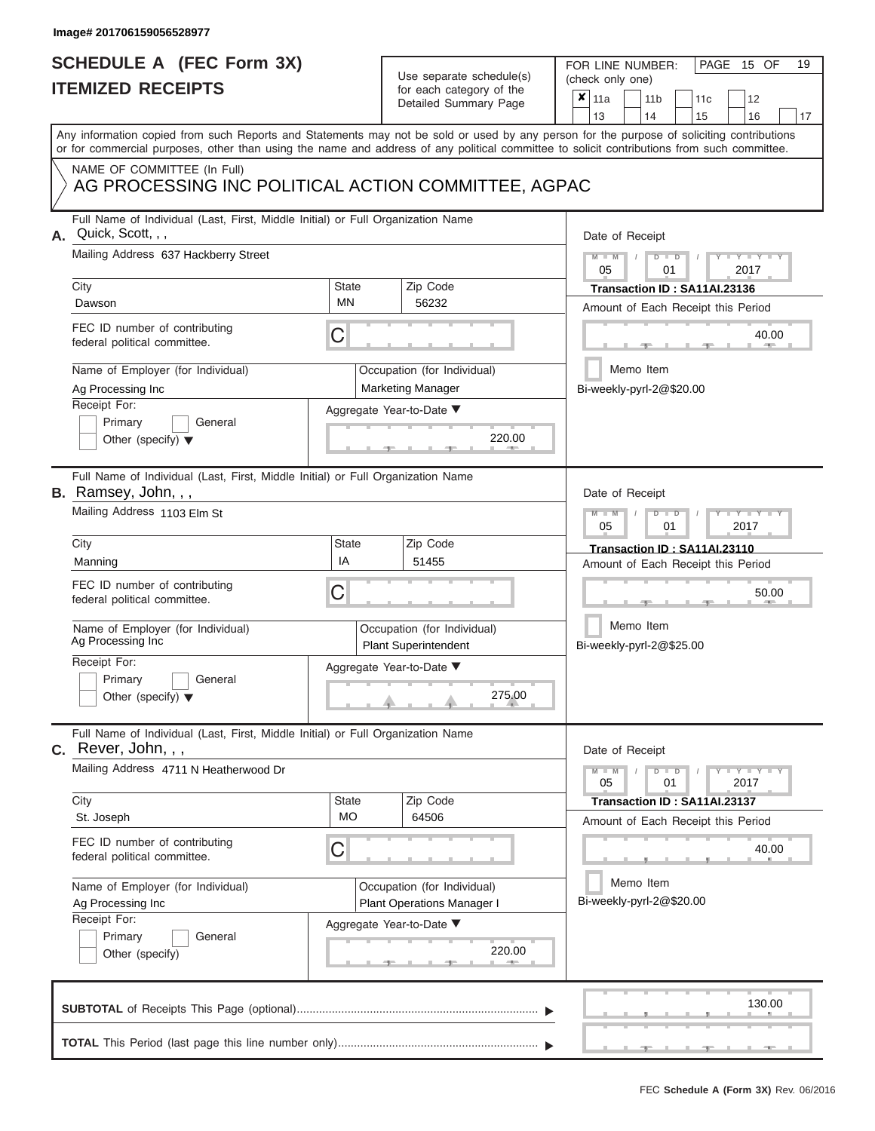### **SCHEDULE A (FEC Form 3X) ITEMIZED RECEIPTS**

# Use separate schedule(s)

| SCHEDULE A (FEC Form 3X)                                                                                                                           |                           | Use separate schedule(s)                                                              | FOR LINE NUMBER:<br>PAGE 15 OF<br>19<br>(check only one)                                                                                  |  |  |  |  |  |  |  |  |
|----------------------------------------------------------------------------------------------------------------------------------------------------|---------------------------|---------------------------------------------------------------------------------------|-------------------------------------------------------------------------------------------------------------------------------------------|--|--|--|--|--|--|--|--|
| <b>ITEMIZED RECEIPTS</b>                                                                                                                           |                           | for each category of the<br>Detailed Summary Page                                     | ×<br>11a<br>11 <sub>b</sub><br>12<br>11c<br>13<br>14<br>15<br>16<br>17                                                                    |  |  |  |  |  |  |  |  |
| or for commercial purposes, other than using the name and address of any political committee to solicit contributions from such committee.         |                           |                                                                                       | Any information copied from such Reports and Statements may not be sold or used by any person for the purpose of soliciting contributions |  |  |  |  |  |  |  |  |
| NAME OF COMMITTEE (In Full)<br>AG PROCESSING INC POLITICAL ACTION COMMITTEE, AGPAC                                                                 |                           |                                                                                       |                                                                                                                                           |  |  |  |  |  |  |  |  |
| Full Name of Individual (Last, First, Middle Initial) or Full Organization Name<br>Quick, Scott, , ,<br>Α.<br>Mailing Address 637 Hackberry Street |                           |                                                                                       | Date of Receipt<br>$M - M$<br>$D$ $D$<br>$Y - Y - I$                                                                                      |  |  |  |  |  |  |  |  |
| City<br>Dawson                                                                                                                                     | State<br>ΜN               | Zip Code<br>56232                                                                     | 05<br>2017<br>01<br>Transaction ID: SA11AI.23136<br>Amount of Each Receipt this Period                                                    |  |  |  |  |  |  |  |  |
| FEC ID number of contributing<br>federal political committee.                                                                                      | С                         |                                                                                       | 40.00                                                                                                                                     |  |  |  |  |  |  |  |  |
| Name of Employer (for Individual)<br>Ag Processing Inc<br>Receipt For:                                                                             |                           | Occupation (for Individual)<br><b>Marketing Manager</b>                               | Memo Item<br>Bi-weekly-pyrl-2@\$20.00                                                                                                     |  |  |  |  |  |  |  |  |
| Primary<br>General<br>Other (specify) $\blacktriangledown$                                                                                         |                           | Aggregate Year-to-Date ▼<br>220.00<br><b>CONTRACTOR</b>                               |                                                                                                                                           |  |  |  |  |  |  |  |  |
| Full Name of Individual (Last, First, Middle Initial) or Full Organization Name<br>B. Ramsey, John, , ,<br>Mailing Address 1103 Elm St             |                           |                                                                                       | Date of Receipt<br>$M - M$<br>$D$ $D$<br>Y I Y                                                                                            |  |  |  |  |  |  |  |  |
| City                                                                                                                                               | <b>State</b><br>IA        | Zip Code                                                                              | 2017<br>05<br>01<br>Transaction ID: SA11AI.23110                                                                                          |  |  |  |  |  |  |  |  |
| Manning<br>FEC ID number of contributing<br>federal political committee.                                                                           | С                         | 51455                                                                                 | Amount of Each Receipt this Period<br>50.00                                                                                               |  |  |  |  |  |  |  |  |
| Name of Employer (for Individual)<br>Ag Processing Inc                                                                                             |                           | Occupation (for Individual)<br><b>Plant Superintendent</b>                            | Memo Item<br>Bi-weekly-pyrl-2@\$25.00                                                                                                     |  |  |  |  |  |  |  |  |
| Receipt For:<br>Primary<br>General<br>Other (specify) $\blacktriangledown$                                                                         |                           | Aggregate Year-to-Date ▼<br>275.00                                                    |                                                                                                                                           |  |  |  |  |  |  |  |  |
| Full Name of Individual (Last, First, Middle Initial) or Full Organization Name<br>C. Rever, John, , ,                                             |                           |                                                                                       | Date of Receipt                                                                                                                           |  |  |  |  |  |  |  |  |
| Mailing Address 4711 N Heatherwood Dr                                                                                                              |                           |                                                                                       | $T-T$ $T$ $T$ $T$ $T$ $T$<br>$M - M$<br>$D$ $D$<br>05<br>01<br>2017                                                                       |  |  |  |  |  |  |  |  |
| City<br>St. Joseph                                                                                                                                 | <b>State</b><br><b>MO</b> | Zip Code<br>64506                                                                     | Transaction ID : SA11Al.23137<br>Amount of Each Receipt this Period                                                                       |  |  |  |  |  |  |  |  |
| FEC ID number of contributing<br>federal political committee.                                                                                      | С                         |                                                                                       | 40.00                                                                                                                                     |  |  |  |  |  |  |  |  |
| Name of Employer (for Individual)<br>Ag Processing Inc<br>Receipt For:                                                                             |                           | Occupation (for Individual)<br>Plant Operations Manager I<br>Aggregate Year-to-Date ▼ | Memo Item<br>Bi-weekly-pyrl-2@\$20.00                                                                                                     |  |  |  |  |  |  |  |  |
| Primary<br>General<br>Other (specify)                                                                                                              |                           | 220.00                                                                                |                                                                                                                                           |  |  |  |  |  |  |  |  |
|                                                                                                                                                    |                           |                                                                                       | 130.00                                                                                                                                    |  |  |  |  |  |  |  |  |
|                                                                                                                                                    |                           |                                                                                       | $-1$<br>$-1$<br>$-1 -$                                                                                                                    |  |  |  |  |  |  |  |  |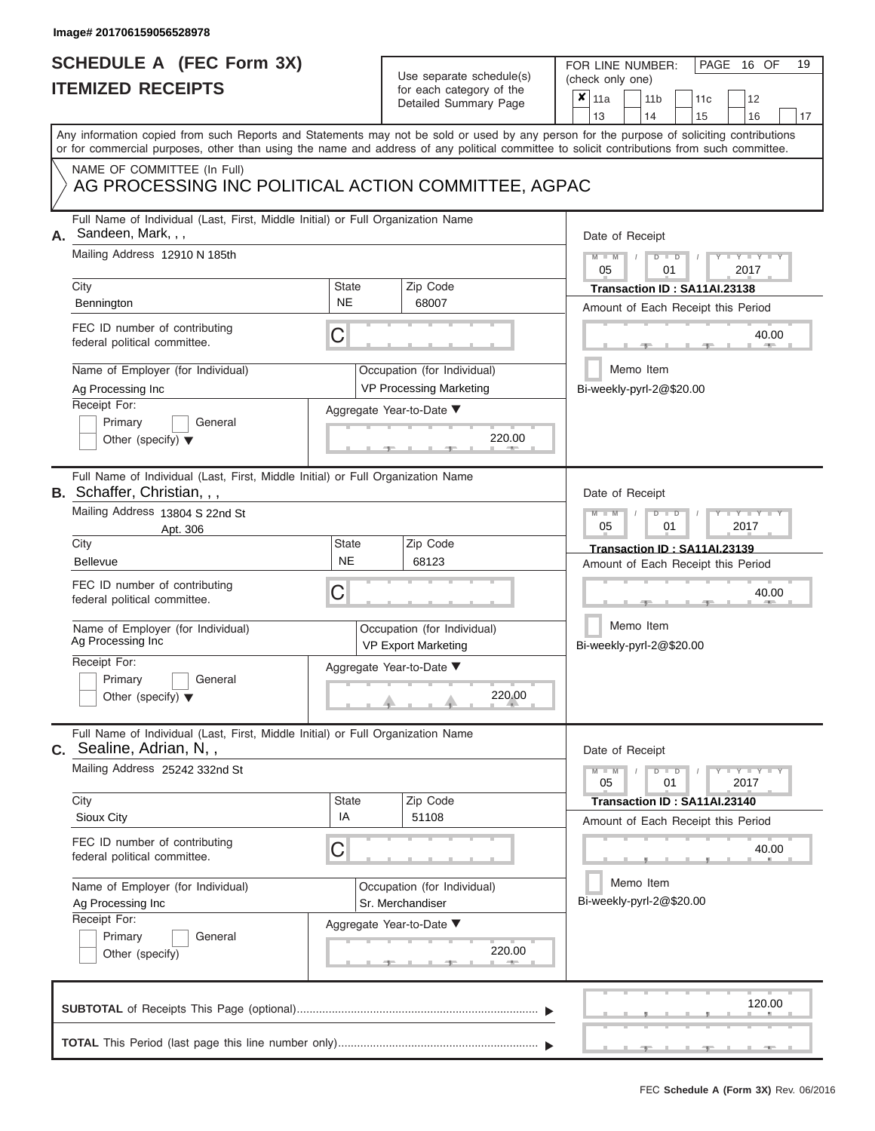# **SCHEDULE A (FEC Form 3X)**

# Use separate schedule(s)

| for each category of the<br>$\boldsymbol{x}$<br>11a<br>11 <sub>b</sub><br>12<br>11 <sub>c</sub><br>Detailed Summary Page<br>13<br>14<br>15<br>16<br>17<br>Any information copied from such Reports and Statements may not be sold or used by any person for the purpose of soliciting contributions<br>or for commercial purposes, other than using the name and address of any political committee to solicit contributions from such committee.<br>NAME OF COMMITTEE (In Full)<br>AG PROCESSING INC POLITICAL ACTION COMMITTEE, AGPAC<br>Full Name of Individual (Last, First, Middle Initial) or Full Organization Name<br>Sandeen, Mark, , ,<br>Date of Receipt<br>Mailing Address 12910 N 185th<br>$M - M$<br>$D$ $D$<br>$Y - Y - I$<br>05<br>01<br>2017<br>City<br>Zip Code<br>State<br>Transaction ID: SA11AI.23138<br><b>NE</b><br>68007<br>Bennington<br>Amount of Each Receipt this Period<br>FEC ID number of contributing<br>С<br>40.00<br>federal political committee.<br>Memo Item<br>Name of Employer (for Individual)<br>Occupation (for Individual)<br>VP Processing Marketing<br>Bi-weekly-pyrl-2@\$20.00<br>Ag Processing Inc<br>Receipt For:<br>Aggregate Year-to-Date ▼<br>Primary<br>General<br>220.00<br>Other (specify) $\blacktriangledown$<br>Full Name of Individual (Last, First, Middle Initial) or Full Organization Name<br>Date of Receipt<br>Mailing Address 13804 S 22nd St<br>$M - M$<br>$D$ $D$<br>Y TY T<br>05<br>2017<br>01<br>Apt. 306<br>City<br><b>State</b><br>Zip Code<br>Transaction ID: SA11AI.23139<br><b>NE</b><br>68123<br><b>Bellevue</b><br>Amount of Each Receipt this Period<br>FEC ID number of contributing<br>С<br>40.00<br>federal political committee.<br>Memo Item<br>Name of Employer (for Individual)<br>Occupation (for Individual)<br>Ag Processing Inc<br>Bi-weekly-pyrl-2@\$20.00<br><b>VP Export Marketing</b><br>Receipt For:<br>Aggregate Year-to-Date ▼<br>Primary<br>General<br>220.00<br>Other (specify) $\blacktriangledown$<br>Full Name of Individual (Last, First, Middle Initial) or Full Organization Name<br>Date of Receipt<br>Mailing Address 25242 332nd St<br>$M - M$<br>$D$ $D$<br>$-1$ $-1$ $-1$ $-1$ $-1$ $-1$<br>05<br>01<br>2017<br>Zip Code<br>City<br>State<br>Transaction ID: SA11AI.23140<br>IA<br>51108<br>Sioux City<br>Amount of Each Receipt this Period<br>FEC ID number of contributing<br>С<br>40.00<br>federal political committee.<br>Memo Item<br>Name of Employer (for Individual)<br>Occupation (for Individual)<br>Bi-weekly-pyrl-2@\$20.00<br>Ag Processing Inc<br>Sr. Merchandiser<br>Receipt For:<br>Aggregate Year-to-Date ▼<br>Primary<br>General<br>220.00<br>Other (specify)<br>120.00 | SCHEDULE A (FEC Form 3X)<br><b>ITEMIZED RECEIPTS</b> | Use separate schedule(s) | 19<br>FOR LINE NUMBER:<br>PAGE 16 OF<br>(check only one) |
|------------------------------------------------------------------------------------------------------------------------------------------------------------------------------------------------------------------------------------------------------------------------------------------------------------------------------------------------------------------------------------------------------------------------------------------------------------------------------------------------------------------------------------------------------------------------------------------------------------------------------------------------------------------------------------------------------------------------------------------------------------------------------------------------------------------------------------------------------------------------------------------------------------------------------------------------------------------------------------------------------------------------------------------------------------------------------------------------------------------------------------------------------------------------------------------------------------------------------------------------------------------------------------------------------------------------------------------------------------------------------------------------------------------------------------------------------------------------------------------------------------------------------------------------------------------------------------------------------------------------------------------------------------------------------------------------------------------------------------------------------------------------------------------------------------------------------------------------------------------------------------------------------------------------------------------------------------------------------------------------------------------------------------------------------------------------------------------------------------------------------------------------------------------------------------------------------------------------------------------------------------------------------------------------------------------------------------------------------------------------------------------------------------------------------------------------------------------------------------------------------------------------------------------------------------------------------------------------------------------------------------------------------------------------------------------------------|------------------------------------------------------|--------------------------|----------------------------------------------------------|
|                                                                                                                                                                                                                                                                                                                                                                                                                                                                                                                                                                                                                                                                                                                                                                                                                                                                                                                                                                                                                                                                                                                                                                                                                                                                                                                                                                                                                                                                                                                                                                                                                                                                                                                                                                                                                                                                                                                                                                                                                                                                                                                                                                                                                                                                                                                                                                                                                                                                                                                                                                                                                                                                                                      |                                                      |                          |                                                          |
| А.<br>B. Schaffer, Christian, , ,<br><b>C.</b> Sealine, Adrian, N,,                                                                                                                                                                                                                                                                                                                                                                                                                                                                                                                                                                                                                                                                                                                                                                                                                                                                                                                                                                                                                                                                                                                                                                                                                                                                                                                                                                                                                                                                                                                                                                                                                                                                                                                                                                                                                                                                                                                                                                                                                                                                                                                                                                                                                                                                                                                                                                                                                                                                                                                                                                                                                                  |                                                      |                          |                                                          |
|                                                                                                                                                                                                                                                                                                                                                                                                                                                                                                                                                                                                                                                                                                                                                                                                                                                                                                                                                                                                                                                                                                                                                                                                                                                                                                                                                                                                                                                                                                                                                                                                                                                                                                                                                                                                                                                                                                                                                                                                                                                                                                                                                                                                                                                                                                                                                                                                                                                                                                                                                                                                                                                                                                      |                                                      |                          |                                                          |
|                                                                                                                                                                                                                                                                                                                                                                                                                                                                                                                                                                                                                                                                                                                                                                                                                                                                                                                                                                                                                                                                                                                                                                                                                                                                                                                                                                                                                                                                                                                                                                                                                                                                                                                                                                                                                                                                                                                                                                                                                                                                                                                                                                                                                                                                                                                                                                                                                                                                                                                                                                                                                                                                                                      |                                                      |                          |                                                          |
|                                                                                                                                                                                                                                                                                                                                                                                                                                                                                                                                                                                                                                                                                                                                                                                                                                                                                                                                                                                                                                                                                                                                                                                                                                                                                                                                                                                                                                                                                                                                                                                                                                                                                                                                                                                                                                                                                                                                                                                                                                                                                                                                                                                                                                                                                                                                                                                                                                                                                                                                                                                                                                                                                                      |                                                      |                          |                                                          |
|                                                                                                                                                                                                                                                                                                                                                                                                                                                                                                                                                                                                                                                                                                                                                                                                                                                                                                                                                                                                                                                                                                                                                                                                                                                                                                                                                                                                                                                                                                                                                                                                                                                                                                                                                                                                                                                                                                                                                                                                                                                                                                                                                                                                                                                                                                                                                                                                                                                                                                                                                                                                                                                                                                      |                                                      |                          |                                                          |
|                                                                                                                                                                                                                                                                                                                                                                                                                                                                                                                                                                                                                                                                                                                                                                                                                                                                                                                                                                                                                                                                                                                                                                                                                                                                                                                                                                                                                                                                                                                                                                                                                                                                                                                                                                                                                                                                                                                                                                                                                                                                                                                                                                                                                                                                                                                                                                                                                                                                                                                                                                                                                                                                                                      |                                                      |                          |                                                          |
|                                                                                                                                                                                                                                                                                                                                                                                                                                                                                                                                                                                                                                                                                                                                                                                                                                                                                                                                                                                                                                                                                                                                                                                                                                                                                                                                                                                                                                                                                                                                                                                                                                                                                                                                                                                                                                                                                                                                                                                                                                                                                                                                                                                                                                                                                                                                                                                                                                                                                                                                                                                                                                                                                                      |                                                      |                          |                                                          |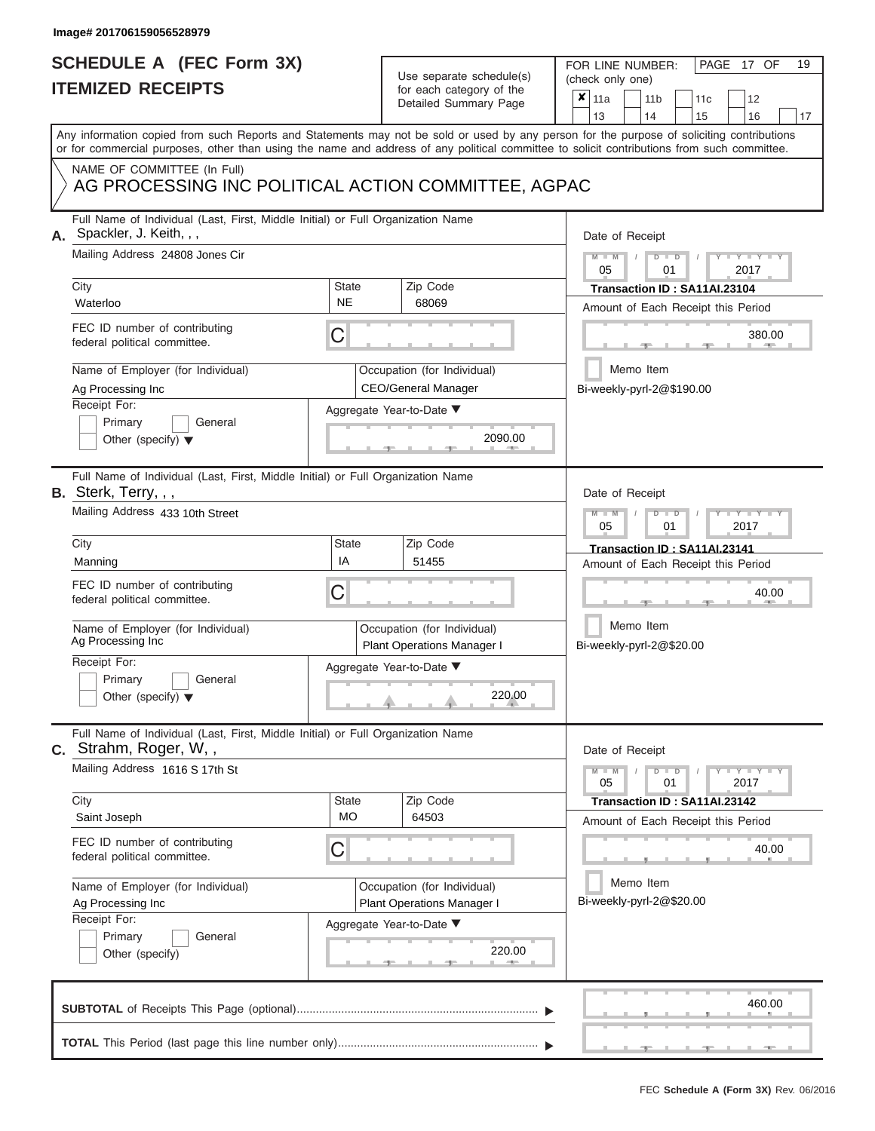# **SCHEDULE A (FEC Form 3X)**

# Use separate schedule(s)

| <b>ITEMIZED RECEIPTS</b>                                           | SCHEDULE A (FEC Form 3X)                                                        |                                                           | Use separate schedule(s)<br>for each category of the      | FOR LINE NUMBER:<br>PAGE 17 OF<br>(check only one)<br>×                                                                                                                                                                                                                                 |  |  |  |  |  |  |
|--------------------------------------------------------------------|---------------------------------------------------------------------------------|-----------------------------------------------------------|-----------------------------------------------------------|-----------------------------------------------------------------------------------------------------------------------------------------------------------------------------------------------------------------------------------------------------------------------------------------|--|--|--|--|--|--|
|                                                                    |                                                                                 |                                                           | Detailed Summary Page                                     | 11a<br>11 <sub>b</sub><br>12<br>11 <sub>c</sub><br>13<br>14<br>15<br>16                                                                                                                                                                                                                 |  |  |  |  |  |  |
|                                                                    |                                                                                 |                                                           |                                                           | Any information copied from such Reports and Statements may not be sold or used by any person for the purpose of soliciting contributions<br>or for commercial purposes, other than using the name and address of any political committee to solicit contributions from such committee. |  |  |  |  |  |  |
|                                                                    | NAME OF COMMITTEE (In Full)                                                     |                                                           | AG PROCESSING INC POLITICAL ACTION COMMITTEE, AGPAC       |                                                                                                                                                                                                                                                                                         |  |  |  |  |  |  |
| Spackler, J. Keith, , ,                                            | Full Name of Individual (Last, First, Middle Initial) or Full Organization Name |                                                           |                                                           | Date of Receipt                                                                                                                                                                                                                                                                         |  |  |  |  |  |  |
| City                                                               | Mailing Address 24808 Jones Cir                                                 | <b>State</b>                                              | Zip Code                                                  | $M - M$<br>$D$ $D$<br>Y TY T<br>05<br>2017<br>01<br>Transaction ID: SA11AI.23104                                                                                                                                                                                                        |  |  |  |  |  |  |
| Waterloo                                                           |                                                                                 | <b>NE</b>                                                 | 68069                                                     | Amount of Each Receipt this Period                                                                                                                                                                                                                                                      |  |  |  |  |  |  |
| FEC ID number of contributing<br>federal political committee.      |                                                                                 | C                                                         |                                                           | 380.00                                                                                                                                                                                                                                                                                  |  |  |  |  |  |  |
| Name of Employer (for Individual)<br>Ag Processing Inc             |                                                                                 |                                                           | Occupation (for Individual)<br><b>CEO/General Manager</b> | Memo Item<br>Bi-weekly-pyrl-2@\$190.00                                                                                                                                                                                                                                                  |  |  |  |  |  |  |
| Receipt For:<br>Primary<br>Other (specify) $\blacktriangledown$    | General                                                                         |                                                           | Aggregate Year-to-Date ▼<br>2090.00                       |                                                                                                                                                                                                                                                                                         |  |  |  |  |  |  |
| B. Sterk, Terry, , ,                                               | Full Name of Individual (Last, First, Middle Initial) or Full Organization Name |                                                           |                                                           | Date of Receipt                                                                                                                                                                                                                                                                         |  |  |  |  |  |  |
| Mailing Address 433 10th Street                                    |                                                                                 |                                                           |                                                           | $M - M$<br>$D$ $D$<br>Y TY<br>05<br>2017<br>01                                                                                                                                                                                                                                          |  |  |  |  |  |  |
| City                                                               |                                                                                 | State<br>IA                                               | Zip Code                                                  | Transaction ID: SA11AI.23141                                                                                                                                                                                                                                                            |  |  |  |  |  |  |
|                                                                    | Manning                                                                         |                                                           | 51455                                                     | Amount of Each Receipt this Period                                                                                                                                                                                                                                                      |  |  |  |  |  |  |
| FEC ID number of contributing<br>federal political committee.      |                                                                                 | С                                                         |                                                           | 40.00                                                                                                                                                                                                                                                                                   |  |  |  |  |  |  |
| Ag Processing Inc                                                  | Name of Employer (for Individual)                                               |                                                           | Occupation (for Individual)<br>Plant Operations Manager I | Memo Item<br>Bi-weekly-pyrl-2@\$20.00                                                                                                                                                                                                                                                   |  |  |  |  |  |  |
| Receipt For:                                                       |                                                                                 |                                                           | Aggregate Year-to-Date ▼                                  |                                                                                                                                                                                                                                                                                         |  |  |  |  |  |  |
| Primary<br>Other (specify) $\blacktriangledown$                    | General                                                                         |                                                           | 220.00                                                    |                                                                                                                                                                                                                                                                                         |  |  |  |  |  |  |
| C. Strahm, Roger, W,,                                              | Full Name of Individual (Last, First, Middle Initial) or Full Organization Name |                                                           |                                                           | Date of Receipt                                                                                                                                                                                                                                                                         |  |  |  |  |  |  |
| Mailing Address 1616 S 17th St                                     |                                                                                 |                                                           |                                                           | $D$ $\Box$ $D$<br>$\mathbf{I} = \mathbf{Y}$ $\mathbf{I} = \mathbf{Y}$ $\mathbf{I}$<br>$M - M$<br>05<br>01<br>2017                                                                                                                                                                       |  |  |  |  |  |  |
| City<br>Saint Joseph                                               |                                                                                 | <b>State</b><br><b>MO</b>                                 | Zip Code<br>64503                                         | Transaction ID: SA11AI.23142<br>Amount of Each Receipt this Period                                                                                                                                                                                                                      |  |  |  |  |  |  |
| FEC ID number of contributing<br>С<br>federal political committee. |                                                                                 |                                                           |                                                           | 40.00                                                                                                                                                                                                                                                                                   |  |  |  |  |  |  |
| Name of Employer (for Individual)<br>Ag Processing Inc             |                                                                                 | Occupation (for Individual)<br>Plant Operations Manager I | Memo Item<br>Bi-weekly-pyrl-2@\$20.00                     |                                                                                                                                                                                                                                                                                         |  |  |  |  |  |  |
| Receipt For:<br>Primary<br>Other (specify)                         | General                                                                         |                                                           | Aggregate Year-to-Date ▼<br>220.00                        |                                                                                                                                                                                                                                                                                         |  |  |  |  |  |  |
|                                                                    |                                                                                 |                                                           |                                                           | 460.00                                                                                                                                                                                                                                                                                  |  |  |  |  |  |  |
|                                                                    |                                                                                 |                                                           |                                                           |                                                                                                                                                                                                                                                                                         |  |  |  |  |  |  |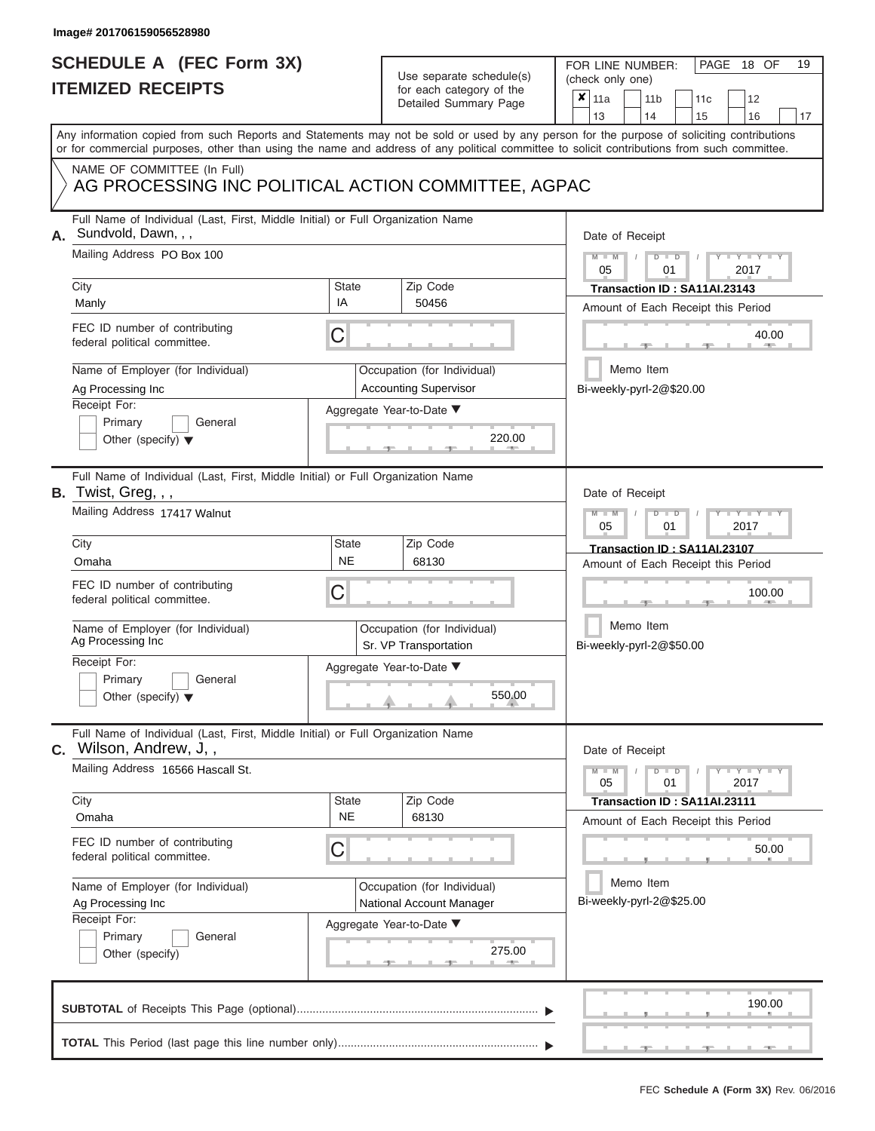# **SCHEDULE A (FEC Form 3X)**

| SCHEDULE A (FEC Form 3X)<br><b>ITEMIZED RECEIPTS</b>                                                                                                                                                                                                              |                         | Use separate schedule(s)<br>for each category of the<br>Detailed Summary Page                       | 19<br>FOR LINE NUMBER:<br>PAGE<br>18 OF<br>(check only one)<br>$\boldsymbol{x}$<br>11a<br>11 <sub>b</sub><br>12<br>11c                                                                   |
|-------------------------------------------------------------------------------------------------------------------------------------------------------------------------------------------------------------------------------------------------------------------|-------------------------|-----------------------------------------------------------------------------------------------------|------------------------------------------------------------------------------------------------------------------------------------------------------------------------------------------|
|                                                                                                                                                                                                                                                                   |                         |                                                                                                     | 13<br>14<br>15<br>16<br>17<br>Any information copied from such Reports and Statements may not be sold or used by any person for the purpose of soliciting contributions                  |
| NAME OF COMMITTEE (In Full)<br>AG PROCESSING INC POLITICAL ACTION COMMITTEE, AGPAC                                                                                                                                                                                |                         |                                                                                                     | or for commercial purposes, other than using the name and address of any political committee to solicit contributions from such committee.                                               |
| Full Name of Individual (Last, First, Middle Initial) or Full Organization Name<br>Sundvold, Dawn, , ,<br>А.<br>Mailing Address PO Box 100<br>City<br>Manly<br>FEC ID number of contributing<br>federal political committee.<br>Name of Employer (for Individual) | <b>State</b><br>IA<br>C | Zip Code<br>50456<br>Occupation (for Individual)                                                    | Date of Receipt<br>$M - M$<br>$D$ $D$<br>$Y - Y - I$<br>05<br>01<br>2017<br>Transaction ID: SA11AI.23143<br>Amount of Each Receipt this Period<br>40.00<br><b>ARCHITECT</b><br>Memo Item |
| Ag Processing Inc<br>Receipt For:<br>Primary<br>General<br>Other (specify) $\blacktriangledown$                                                                                                                                                                   |                         | <b>Accounting Supervisor</b><br>Aggregate Year-to-Date ▼<br>220.00                                  | Bi-weekly-pyrl-2@\$20.00                                                                                                                                                                 |
| Full Name of Individual (Last, First, Middle Initial) or Full Organization Name<br>B. Twist, Greg, , ,<br>Mailing Address 17417 Walnut<br>City                                                                                                                    | State<br><b>NE</b>      | Zip Code                                                                                            | Date of Receipt<br>$M - M$<br>$D$ $\Box$ $D$<br>Y TYT<br>05<br>2017<br>01<br>Transaction ID: SA11AI.23107                                                                                |
| Omaha<br>FEC ID number of contributing<br>federal political committee.<br>Name of Employer (for Individual)<br>Ag Processing Inc<br>Receipt For:<br>Primary<br>General<br>Other (specify) $\blacktriangledown$                                                    | С                       | 68130<br>Occupation (for Individual)<br>Sr. VP Transportation<br>Aggregate Year-to-Date ▼<br>550.00 | Amount of Each Receipt this Period<br>100.00<br>Memo Item<br>Bi-weekly-pyrl-2@\$50.00                                                                                                    |
| Full Name of Individual (Last, First, Middle Initial) or Full Organization Name<br><b>C.</b> Wilson, Andrew, J,,<br>Mailing Address 16566 Hascall St.                                                                                                             |                         |                                                                                                     | Date of Receipt<br>$M - M$<br>$D$ $D$<br>$T-T$ $T$ $T$ $T$ $T$ $T$ $T$<br>05<br>01<br>2017                                                                                               |
| City<br>Omaha<br>FEC ID number of contributing<br>federal political committee.                                                                                                                                                                                    | State<br><b>NE</b><br>С | Zip Code<br>68130                                                                                   | Transaction ID: SA11AI.23111<br>Amount of Each Receipt this Period<br>50.00                                                                                                              |
| Name of Employer (for Individual)<br>Ag Processing Inc<br>Receipt For:<br>Primary<br>General<br>Other (specify)                                                                                                                                                   |                         | Occupation (for Individual)<br>National Account Manager<br>Aggregate Year-to-Date ▼<br>275.00       | Memo Item<br>Bi-weekly-pyrl-2@\$25.00                                                                                                                                                    |
|                                                                                                                                                                                                                                                                   |                         |                                                                                                     | 190.00                                                                                                                                                                                   |
|                                                                                                                                                                                                                                                                   |                         |                                                                                                     |                                                                                                                                                                                          |